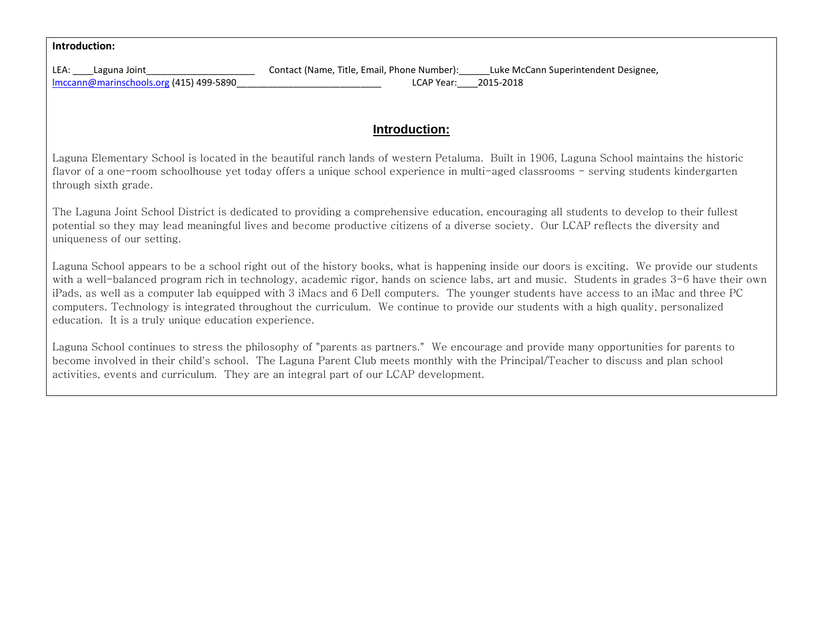|  | Introduction: |  |
|--|---------------|--|
|  |               |  |

LEA: \_\_\_\_Laguna Joint\_\_\_\_\_\_\_\_\_\_\_\_\_\_\_\_\_\_\_\_\_ Contact (Name, Title, Email, Phone Number):\_\_\_\_\_\_Luke McCann Superintendent Designee, [lmccann@marinschools.org](mailto:lmccann@marinschools.org) (415) 499-5890\_\_\_\_\_\_\_\_\_\_\_\_\_\_\_\_\_\_\_\_\_\_\_\_\_\_\_\_ LCAP Year:\_\_\_\_2015-2018

# **Introduction:**

Laguna Elementary School is located in the beautiful ranch lands of western Petaluma. Built in 1906, Laguna School maintains the historic flavor of a one-room schoolhouse yet today offers a unique school experience in multi-aged classrooms - serving students kindergarten through sixth grade.

The Laguna Joint School District is dedicated to providing a comprehensive education, encouraging all students to develop to their fullest potential so they may lead meaningful lives and become productive citizens of a diverse society. Our LCAP reflects the diversity and uniqueness of our setting.

Laguna School appears to be a school right out of the history books, what is happening inside our doors is exciting. We provide our students with a well-balanced program rich in technology, academic rigor, hands on science labs, art and music. Students in grades 3-6 have their own iPads, as well as a computer lab equipped with 3 iMacs and 6 Dell computers. The younger students have access to an iMac and three PC computers. Technology is integrated throughout the curriculum. We continue to provide our students with a high quality, personalized education. It is a truly unique education experience.

Laguna School continues to stress the philosophy of "parents as partners." We encourage and provide many opportunities for parents to become involved in their child's school. The Laguna Parent Club meets monthly with the Principal/Teacher to discuss and plan school activities, events and curriculum. They are an integral part of our LCAP development.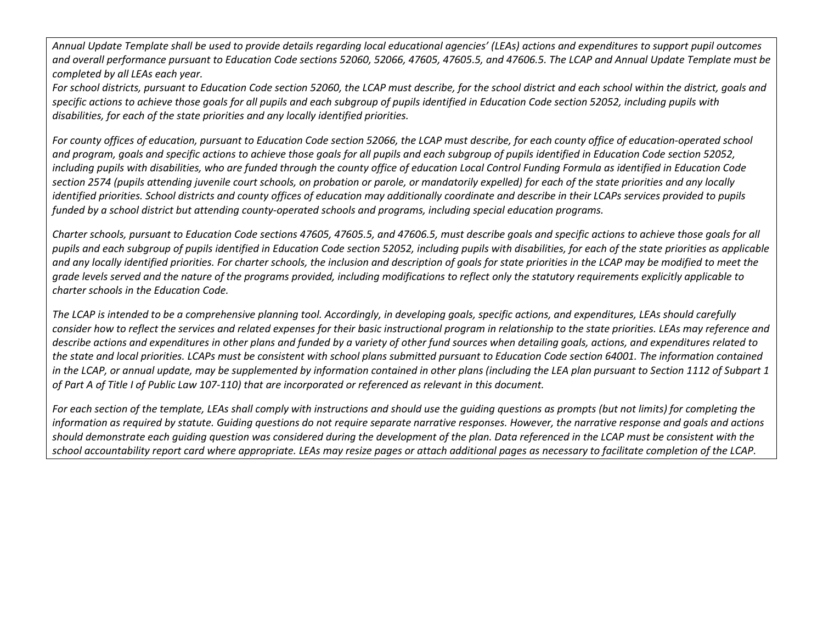*Annual Update Template shall be used to provide details regarding local educational agencies' (LEAs) actions and expenditures to support pupil outcomes and overall performance pursuant to Education Code sections 52060, 52066, 47605, 47605.5, and 47606.5. The LCAP and Annual Update Template must be completed by all LEAs each year.*

*For school districts, pursuant to Education Code section 52060, the LCAP must describe, for the school district and each school within the district, goals and specific actions to achieve those goals for all pupils and each subgroup of pupils identified in Education Code section 52052, including pupils with disabilities, for each of the state priorities and any locally identified priorities.*

*For county offices of education, pursuant to Education Code section 52066, the LCAP must describe, for each county office of education-operated school and program, goals and specific actions to achieve those goals for all pupils and each subgroup of pupils identified in Education Code section 52052, including pupils with disabilities, who are funded through the county office of education Local Control Funding Formula as identified in Education Code section 2574 (pupils attending juvenile court schools, on probation or parole, or mandatorily expelled) for each of the state priorities and any locally identified priorities. School districts and county offices of education may additionally coordinate and describe in their LCAPs services provided to pupils funded by a school district but attending county-operated schools and programs, including special education programs.*

*Charter schools, pursuant to Education Code sections 47605, 47605.5, and 47606.5, must describe goals and specific actions to achieve those goals for all pupils and each subgroup of pupils identified in Education Code section 52052, including pupils with disabilities, for each of the state priorities as applicable*  and any locally identified priorities. For charter schools, the inclusion and description of goals for state priorities in the LCAP may be modified to meet the *grade levels served and the nature of the programs provided, including modifications to reflect only the statutory requirements explicitly applicable to charter schools in the Education Code.*

*The LCAP is intended to be a comprehensive planning tool. Accordingly, in developing goals, specific actions, and expenditures, LEAs should carefully consider how to reflect the services and related expenses for their basic instructional program in relationship to the state priorities. LEAs may reference and describe actions and expenditures in other plans and funded by a variety of other fund sources when detailing goals, actions, and expenditures related to the state and local priorities. LCAPs must be consistent with school plans submitted pursuant to Education Code section 64001. The information contained in the LCAP, or annual update, may be supplemented by information contained in other plans (including the LEA plan pursuant to Section 1112 of Subpart 1 of Part A of Title I of Public Law 107-110) that are incorporated or referenced as relevant in this document.* 

For each section of the template, LEAs shall comply with instructions and should use the quiding questions as prompts (but not limits) for completing the *information as required by statute. Guiding questions do not require separate narrative responses. However, the narrative response and goals and actions should demonstrate each guiding question was considered during the development of the plan. Data referenced in the LCAP must be consistent with the school accountability report card where appropriate. LEAs may resize pages or attach additional pages as necessary to facilitate completion of the LCAP.*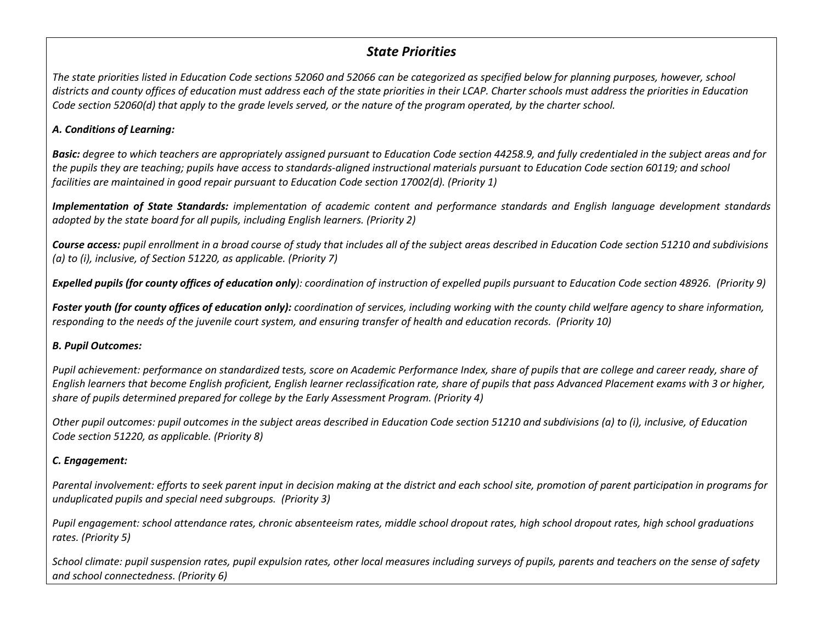# *State Priorities*

*The state priorities listed in Education Code sections 52060 and 52066 can be categorized as specified below for planning purposes, however, school districts and county offices of education must address each of the state priorities in their LCAP. Charter schools must address the priorities in Education Code section 52060(d) that apply to the grade levels served, or the nature of the program operated, by the charter school.*

## *A. Conditions of Learning:*

*Basic: degree to which teachers are appropriately assigned pursuant to Education Code section 44258.9, and fully credentialed in the subject areas and for the pupils they are teaching; pupils have access to standards-aligned instructional materials pursuant to Education Code section 60119; and school facilities are maintained in good repair pursuant to Education Code section 17002(d). (Priority 1)*

*Implementation of State Standards: implementation of academic content and performance standards and English language development standards adopted by the state board for all pupils, including English learners. (Priority 2)*

*Course access: pupil enrollment in a broad course of study that includes all of the subject areas described in Education Code section 51210 and subdivisions (a) to (i), inclusive, of Section 51220, as applicable. (Priority 7)*

*Expelled pupils (for county offices of education only): coordination of instruction of expelled pupils pursuant to Education Code section 48926. (Priority 9)*

*Foster youth (for county offices of education only): coordination of services, including working with the county child welfare agency to share information, responding to the needs of the juvenile court system, and ensuring transfer of health and education records. (Priority 10)*

## *B. Pupil Outcomes:*

Pupil achievement: performance on standardized tests, score on Academic Performance Index, share of pupils that are college and career ready, share of *English learners that become English proficient, English learner reclassification rate, share of pupils that pass Advanced Placement exams with 3 or higher, share of pupils determined prepared for college by the Early Assessment Program. (Priority 4)*

*Other pupil outcomes: pupil outcomes in the subject areas described in Education Code section 51210 and subdivisions (a) to (i), inclusive, of Education Code section 51220, as applicable. (Priority 8)* 

## *C. Engagement:*

*Parental involvement: efforts to seek parent input in decision making at the district and each school site, promotion of parent participation in programs for unduplicated pupils and special need subgroups. (Priority 3)*

*Pupil engagement: school attendance rates, chronic absenteeism rates, middle school dropout rates, high school dropout rates, high school graduations rates. (Priority 5)*

*School climate: pupil suspension rates, pupil expulsion rates, other local measures including surveys of pupils, parents and teachers on the sense of safety and school connectedness. (Priority 6)*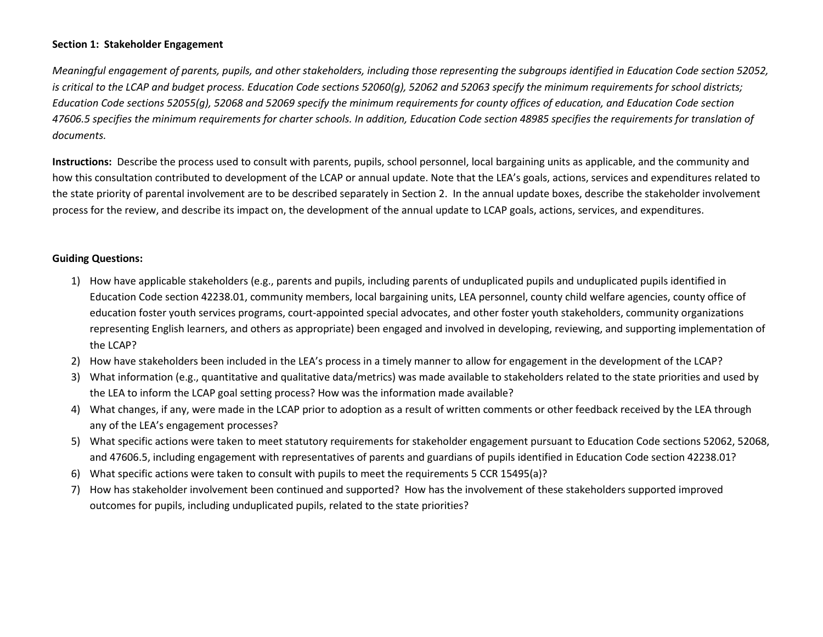#### **Section 1: Stakeholder Engagement**

*Meaningful engagement of parents, pupils, and other stakeholders, including those representing the subgroups identified in Education Code section 52052, is critical to the LCAP and budget process. Education Code sections 52060(g), 52062 and 52063 specify the minimum requirements for school districts; Education Code sections 52055(g), 52068 and 52069 specify the minimum requirements for county offices of education, and Education Code section 47606.5 specifies the minimum requirements for charter schools. In addition, Education Code section 48985 specifies the requirements for translation of documents.*

**Instructions:** Describe the process used to consult with parents, pupils, school personnel, local bargaining units as applicable, and the community and how this consultation contributed to development of the LCAP or annual update. Note that the LEA's goals, actions, services and expenditures related to the state priority of parental involvement are to be described separately in Section 2. In the annual update boxes, describe the stakeholder involvement process for the review, and describe its impact on, the development of the annual update to LCAP goals, actions, services, and expenditures.

#### **Guiding Questions:**

- 1) How have applicable stakeholders (e.g., parents and pupils, including parents of unduplicated pupils and unduplicated pupils identified in Education Code section 42238.01, community members, local bargaining units, LEA personnel, county child welfare agencies, county office of education foster youth services programs, court-appointed special advocates, and other foster youth stakeholders, community organizations representing English learners, and others as appropriate) been engaged and involved in developing, reviewing, and supporting implementation of the LCAP?
- 2) How have stakeholders been included in the LEA's process in a timely manner to allow for engagement in the development of the LCAP?
- 3) What information (e.g., quantitative and qualitative data/metrics) was made available to stakeholders related to the state priorities and used by the LEA to inform the LCAP goal setting process? How was the information made available?
- 4) What changes, if any, were made in the LCAP prior to adoption as a result of written comments or other feedback received by the LEA through any of the LEA's engagement processes?
- 5) What specific actions were taken to meet statutory requirements for stakeholder engagement pursuant to Education Code sections 52062, 52068, and 47606.5, including engagement with representatives of parents and guardians of pupils identified in Education Code section 42238.01?
- 6) What specific actions were taken to consult with pupils to meet the requirements 5 CCR 15495(a)?
- 7) How has stakeholder involvement been continued and supported? How has the involvement of these stakeholders supported improved outcomes for pupils, including unduplicated pupils, related to the state priorities?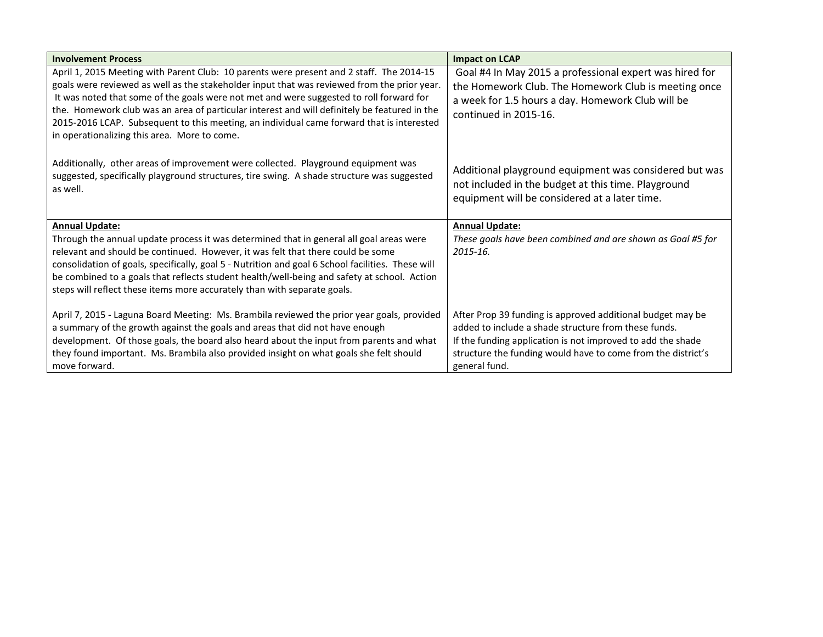| <b>Involvement Process</b>                                                                                                                                                                                                                                                                                                                                                                                                                                                                                                      | <b>Impact on LCAP</b>                                                                                                                                                                                                                                              |
|---------------------------------------------------------------------------------------------------------------------------------------------------------------------------------------------------------------------------------------------------------------------------------------------------------------------------------------------------------------------------------------------------------------------------------------------------------------------------------------------------------------------------------|--------------------------------------------------------------------------------------------------------------------------------------------------------------------------------------------------------------------------------------------------------------------|
| April 1, 2015 Meeting with Parent Club: 10 parents were present and 2 staff. The 2014-15<br>goals were reviewed as well as the stakeholder input that was reviewed from the prior year.<br>It was noted that some of the goals were not met and were suggested to roll forward for<br>the. Homework club was an area of particular interest and will definitely be featured in the<br>2015-2016 LCAP. Subsequent to this meeting, an individual came forward that is interested<br>in operationalizing this area. More to come. | Goal #4 In May 2015 a professional expert was hired for<br>the Homework Club. The Homework Club is meeting once<br>a week for 1.5 hours a day. Homework Club will be<br>continued in 2015-16.                                                                      |
| Additionally, other areas of improvement were collected. Playground equipment was<br>suggested, specifically playground structures, tire swing. A shade structure was suggested<br>as well.                                                                                                                                                                                                                                                                                                                                     | Additional playground equipment was considered but was<br>not included in the budget at this time. Playground<br>equipment will be considered at a later time.                                                                                                     |
| <b>Annual Update:</b><br>Through the annual update process it was determined that in general all goal areas were<br>relevant and should be continued. However, it was felt that there could be some<br>consolidation of goals, specifically, goal 5 - Nutrition and goal 6 School facilities. These will<br>be combined to a goals that reflects student health/well-being and safety at school. Action<br>steps will reflect these items more accurately than with separate goals.                                             | <b>Annual Update:</b><br>These goals have been combined and are shown as Goal #5 for<br>2015-16.                                                                                                                                                                   |
| April 7, 2015 - Laguna Board Meeting: Ms. Brambila reviewed the prior year goals, provided<br>a summary of the growth against the goals and areas that did not have enough<br>development. Of those goals, the board also heard about the input from parents and what<br>they found important. Ms. Brambila also provided insight on what goals she felt should<br>move forward.                                                                                                                                                | After Prop 39 funding is approved additional budget may be<br>added to include a shade structure from these funds.<br>If the funding application is not improved to add the shade<br>structure the funding would have to come from the district's<br>general fund. |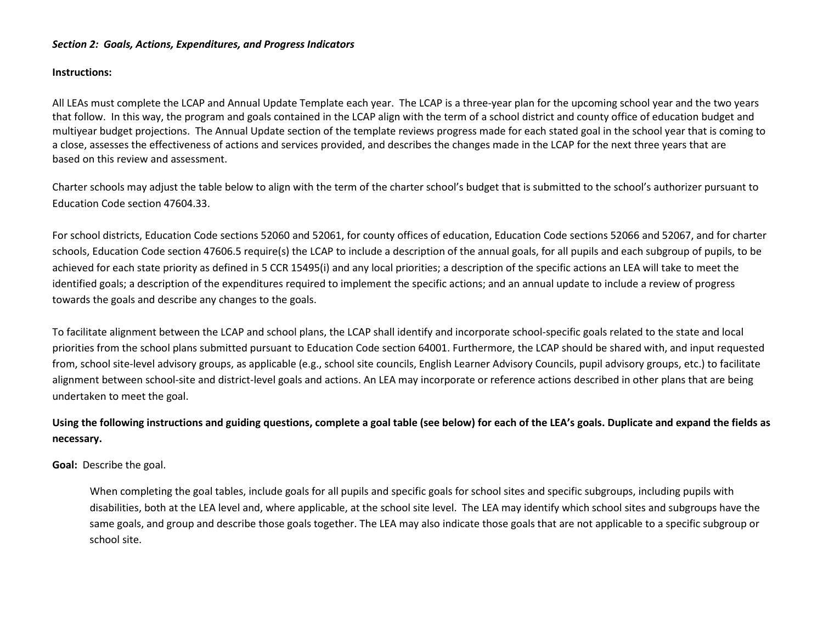#### *Section 2: Goals, Actions, Expenditures, and Progress Indicators*

#### **Instructions:**

All LEAs must complete the LCAP and Annual Update Template each year. The LCAP is a three-year plan for the upcoming school year and the two years that follow. In this way, the program and goals contained in the LCAP align with the term of a school district and county office of education budget and multiyear budget projections. The Annual Update section of the template reviews progress made for each stated goal in the school year that is coming to a close, assesses the effectiveness of actions and services provided, and describes the changes made in the LCAP for the next three years that are based on this review and assessment.

Charter schools may adjust the table below to align with the term of the charter school's budget that is submitted to the school's authorizer pursuant to Education Code section 47604.33.

For school districts, Education Code sections 52060 and 52061, for county offices of education, Education Code sections 52066 and 52067, and for charter schools, Education Code section 47606.5 require(s) the LCAP to include a description of the annual goals, for all pupils and each subgroup of pupils, to be achieved for each state priority as defined in 5 CCR 15495(i) and any local priorities; a description of the specific actions an LEA will take to meet the identified goals; a description of the expenditures required to implement the specific actions; and an annual update to include a review of progress towards the goals and describe any changes to the goals.

To facilitate alignment between the LCAP and school plans, the LCAP shall identify and incorporate school-specific goals related to the state and local priorities from the school plans submitted pursuant to Education Code section 64001. Furthermore, the LCAP should be shared with, and input requested from, school site-level advisory groups, as applicable (e.g., school site councils, English Learner Advisory Councils, pupil advisory groups, etc.) to facilitate alignment between school-site and district-level goals and actions. An LEA may incorporate or reference actions described in other plans that are being undertaken to meet the goal.

## **Using the following instructions and guiding questions, complete a goal table (see below) for each of the LEA's goals. Duplicate and expand the fields as necessary.**

**Goal:** Describe the goal.

When completing the goal tables, include goals for all pupils and specific goals for school sites and specific subgroups, including pupils with disabilities, both at the LEA level and, where applicable, at the school site level. The LEA may identify which school sites and subgroups have the same goals, and group and describe those goals together. The LEA may also indicate those goals that are not applicable to a specific subgroup or school site.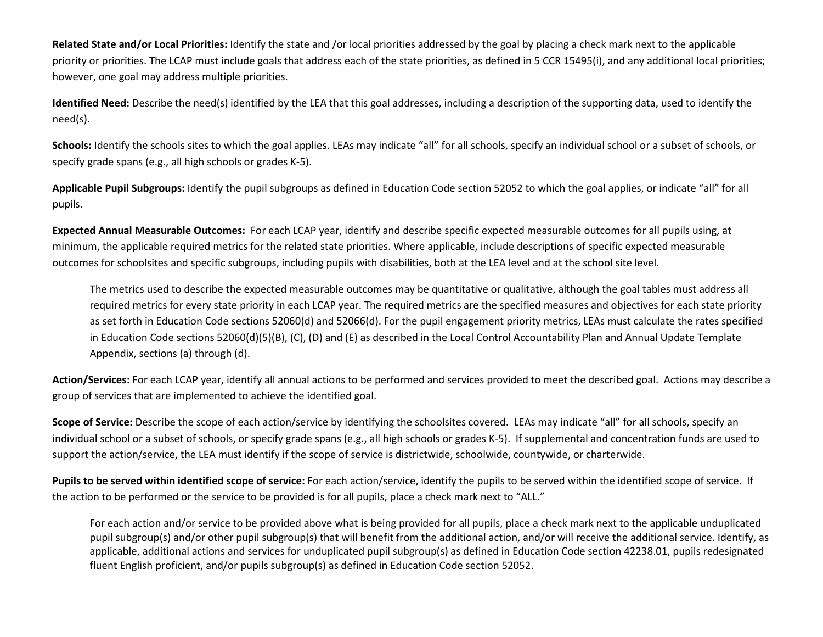**Related State and/or Local Priorities:** Identify the state and /or local priorities addressed by the goal by placing a check mark next to the applicable priority or priorities. The LCAP must include goals that address each of the state priorities, as defined in 5 CCR 15495(i), and any additional local priorities; however, one goal may address multiple priorities.

**Identified Need:** Describe the need(s) identified by the LEA that this goal addresses, including a description of the supporting data, used to identify the need(s).

Schools: Identify the schools sites to which the goal applies. LEAs may indicate "all" for all schools, specify an individual school or a subset of schools, or specify grade spans (e.g., all high schools or grades K-5).

**Applicable Pupil Subgroups:** Identify the pupil subgroups as defined in Education Code section 52052 to which the goal applies, or indicate "all" for all pupils.

**Expected Annual Measurable Outcomes:** For each LCAP year, identify and describe specific expected measurable outcomes for all pupils using, at minimum, the applicable required metrics for the related state priorities. Where applicable, include descriptions of specific expected measurable outcomes for schoolsites and specific subgroups, including pupils with disabilities, both at the LEA level and at the school site level.

The metrics used to describe the expected measurable outcomes may be quantitative or qualitative, although the goal tables must address all required metrics for every state priority in each LCAP year. The required metrics are the specified measures and objectives for each state priority as set forth in Education Code sections 52060(d) and 52066(d). For the pupil engagement priority metrics, LEAs must calculate the rates specified in Education Code sections 52060(d)(5)(B), (C), (D) and (E) as described in the Local Control Accountability Plan and Annual Update Template Appendix, sections (a) through (d).

**Action/Services:** For each LCAP year, identify all annual actions to be performed and services provided to meet the described goal. Actions may describe a group of services that are implemented to achieve the identified goal.

**Scope of Service:** Describe the scope of each action/service by identifying the schoolsites covered. LEAs may indicate "all" for all schools, specify an individual school or a subset of schools, or specify grade spans (e.g., all high schools or grades K-5). If supplemental and concentration funds are used to support the action/service, the LEA must identify if the scope of service is districtwide, schoolwide, countywide, or charterwide.

**Pupils to be served within identified scope of service:** For each action/service, identify the pupils to be served within the identified scope of service. If the action to be performed or the service to be provided is for all pupils, place a check mark next to "ALL."

For each action and/or service to be provided above what is being provided for all pupils, place a check mark next to the applicable unduplicated pupil subgroup(s) and/or other pupil subgroup(s) that will benefit from the additional action, and/or will receive the additional service. Identify, as applicable, additional actions and services for unduplicated pupil subgroup(s) as defined in Education Code section 42238.01, pupils redesignated fluent English proficient, and/or pupils subgroup(s) as defined in Education Code section 52052.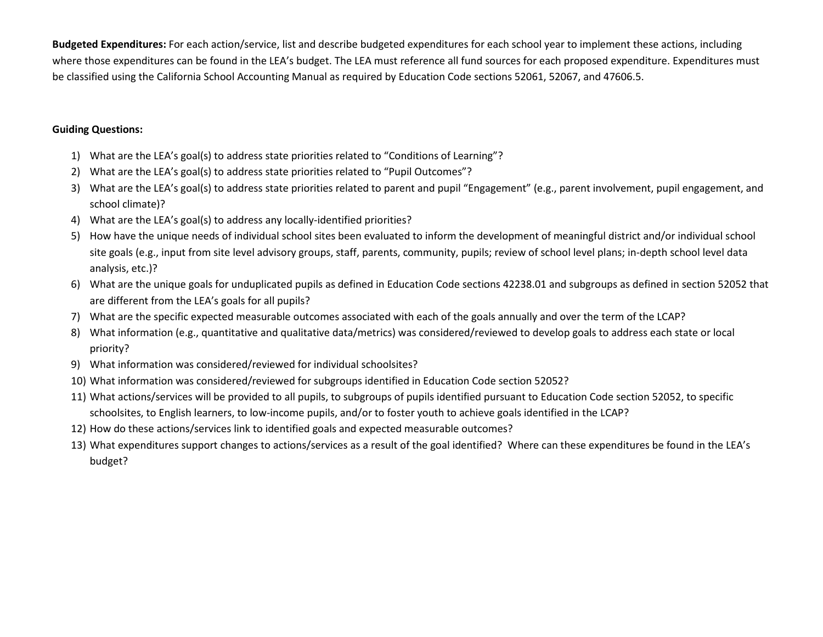**Budgeted Expenditures:** For each action/service, list and describe budgeted expenditures for each school year to implement these actions, including where those expenditures can be found in the LEA's budget. The LEA must reference all fund sources for each proposed expenditure. Expenditures must be classified using the California School Accounting Manual as required by Education Code sections 52061, 52067, and 47606.5.

### **Guiding Questions:**

- 1) What are the LEA's goal(s) to address state priorities related to "Conditions of Learning"?
- 2) What are the LEA's goal(s) to address state priorities related to "Pupil Outcomes"?
- 3) What are the LEA's goal(s) to address state priorities related to parent and pupil "Engagement" (e.g., parent involvement, pupil engagement, and school climate)?
- 4) What are the LEA's goal(s) to address any locally-identified priorities?
- 5) How have the unique needs of individual school sites been evaluated to inform the development of meaningful district and/or individual school site goals (e.g., input from site level advisory groups, staff, parents, community, pupils; review of school level plans; in-depth school level data analysis, etc.)?
- 6) What are the unique goals for unduplicated pupils as defined in Education Code sections 42238.01 and subgroups as defined in section 52052 that are different from the LEA's goals for all pupils?
- 7) What are the specific expected measurable outcomes associated with each of the goals annually and over the term of the LCAP?
- 8) What information (e.g., quantitative and qualitative data/metrics) was considered/reviewed to develop goals to address each state or local priority?
- 9) What information was considered/reviewed for individual schoolsites?
- 10) What information was considered/reviewed for subgroups identified in Education Code section 52052?
- 11) What actions/services will be provided to all pupils, to subgroups of pupils identified pursuant to Education Code section 52052, to specific schoolsites, to English learners, to low-income pupils, and/or to foster youth to achieve goals identified in the LCAP?
- 12) How do these actions/services link to identified goals and expected measurable outcomes?
- 13) What expenditures support changes to actions/services as a result of the goal identified? Where can these expenditures be found in the LEA's budget?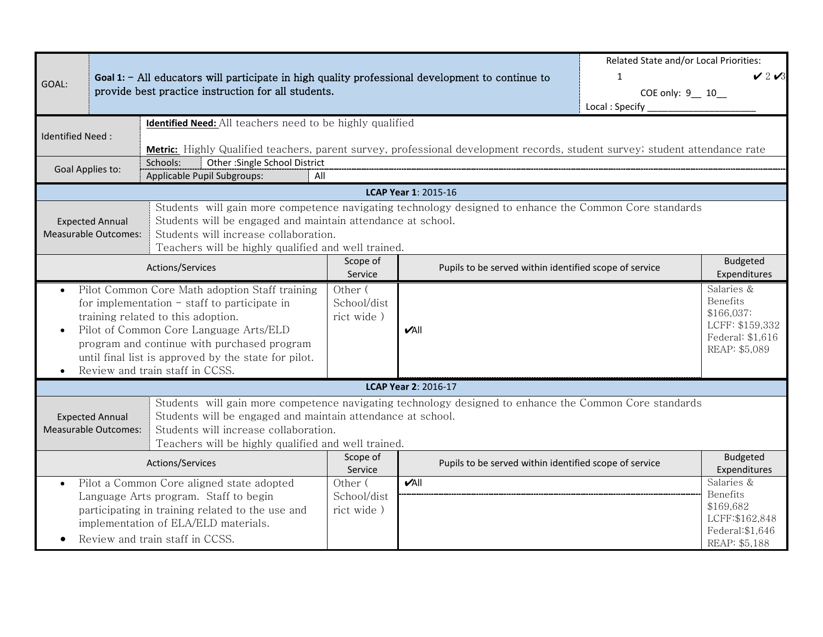|                                                                                                                                                                    |                             |                                                                                      |                           |                                                                                                                             | Related State and/or Local Priorities:<br>$\mathbf{1}$ | $\sqrt{2}\sqrt{3}$            |
|--------------------------------------------------------------------------------------------------------------------------------------------------------------------|-----------------------------|--------------------------------------------------------------------------------------|---------------------------|-----------------------------------------------------------------------------------------------------------------------------|--------------------------------------------------------|-------------------------------|
| Goal 1: $-$ All educators will participate in high quality professional development to continue to<br>GOAL:<br>provide best practice instruction for all students. |                             |                                                                                      |                           |                                                                                                                             |                                                        |                               |
|                                                                                                                                                                    |                             |                                                                                      |                           |                                                                                                                             | COE only: 9_ 10_                                       |                               |
|                                                                                                                                                                    |                             |                                                                                      |                           |                                                                                                                             | Local: Specify                                         |                               |
| Identified Need:                                                                                                                                                   |                             | Identified Need: All teachers need to be highly qualified                            |                           |                                                                                                                             |                                                        |                               |
|                                                                                                                                                                    |                             |                                                                                      |                           | Metric: Highly Qualified teachers, parent survey, professional development records, student survey; student attendance rate |                                                        |                               |
|                                                                                                                                                                    |                             | Schools:<br>Other: Single School District                                            |                           |                                                                                                                             |                                                        |                               |
| Goal Applies to:                                                                                                                                                   |                             | Applicable Pupil Subgroups:<br>All                                                   |                           |                                                                                                                             |                                                        |                               |
|                                                                                                                                                                    |                             |                                                                                      |                           | <b>LCAP Year 1: 2015-16</b>                                                                                                 |                                                        |                               |
|                                                                                                                                                                    |                             |                                                                                      |                           | Students will gain more competence navigating technology designed to enhance the Common Core standards                      |                                                        |                               |
|                                                                                                                                                                    | <b>Expected Annual</b>      | Students will be engaged and maintain attendance at school.                          |                           |                                                                                                                             |                                                        |                               |
|                                                                                                                                                                    | <b>Measurable Outcomes:</b> | Students will increase collaboration.                                                |                           |                                                                                                                             |                                                        |                               |
|                                                                                                                                                                    |                             | Teachers will be highly qualified and well trained.                                  |                           |                                                                                                                             |                                                        |                               |
|                                                                                                                                                                    |                             | Actions/Services                                                                     | Scope of                  | Pupils to be served within identified scope of service                                                                      |                                                        | <b>Budgeted</b>               |
|                                                                                                                                                                    |                             |                                                                                      | Service                   |                                                                                                                             |                                                        | Expenditures                  |
|                                                                                                                                                                    |                             | Pilot Common Core Math adoption Staff training                                       | Other (                   |                                                                                                                             |                                                        | Salaries &<br><b>Benefits</b> |
|                                                                                                                                                                    |                             | for implementation $-$ staff to participate in<br>training related to this adoption. | School/dist<br>rict wide) |                                                                                                                             |                                                        | \$166,037:                    |
|                                                                                                                                                                    |                             | Pilot of Common Core Language Arts/ELD                                               |                           | $V$ All                                                                                                                     |                                                        | LCFF: \$159,332               |
|                                                                                                                                                                    |                             | program and continue with purchased program                                          |                           |                                                                                                                             |                                                        | Federal: \$1,616              |
|                                                                                                                                                                    |                             | until final list is approved by the state for pilot.                                 |                           |                                                                                                                             |                                                        | REAP: \$5,089                 |
|                                                                                                                                                                    |                             | Review and train staff in CCSS.                                                      |                           |                                                                                                                             |                                                        |                               |
|                                                                                                                                                                    |                             |                                                                                      |                           | <b>LCAP Year 2: 2016-17</b>                                                                                                 |                                                        |                               |
|                                                                                                                                                                    |                             |                                                                                      |                           | Students will gain more competence navigating technology designed to enhance the Common Core standards                      |                                                        |                               |
|                                                                                                                                                                    | <b>Expected Annual</b>      | Students will be engaged and maintain attendance at school.                          |                           |                                                                                                                             |                                                        |                               |
|                                                                                                                                                                    | <b>Measurable Outcomes:</b> | Students will increase collaboration.                                                |                           |                                                                                                                             |                                                        |                               |
|                                                                                                                                                                    |                             | Teachers will be highly qualified and well trained.                                  |                           |                                                                                                                             |                                                        |                               |
|                                                                                                                                                                    |                             | Actions/Services                                                                     | Scope of                  | Pupils to be served within identified scope of service                                                                      |                                                        | Budgeted                      |
|                                                                                                                                                                    |                             | Service                                                                              |                           |                                                                                                                             | Expenditures                                           |                               |
|                                                                                                                                                                    |                             | Pilot a Common Core aligned state adopted                                            | Other (<br>School/dist    | $V$ All                                                                                                                     |                                                        | Salaries &<br>Benefits        |
| Language Arts program. Staff to begin<br>participating in training related to the use and                                                                          |                             | rict wide)                                                                           |                           |                                                                                                                             | \$169,682                                              |                               |
|                                                                                                                                                                    |                             | implementation of ELA/ELD materials.                                                 |                           |                                                                                                                             |                                                        | LCFF:\$162,848                |
|                                                                                                                                                                    |                             | Review and train staff in CCSS.                                                      |                           |                                                                                                                             |                                                        | Federal:\$1,646               |
|                                                                                                                                                                    |                             |                                                                                      |                           |                                                                                                                             |                                                        | REAP: \$5,188                 |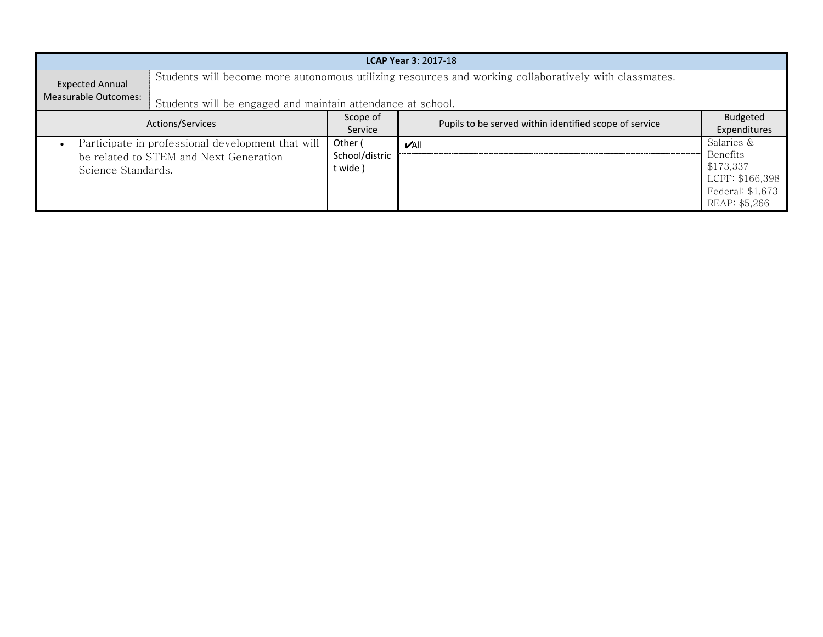| <b>LCAP Year 3: 2017-18</b>                                                                                                                                    |                                                                                             |                                                             |                                                        |                                                                                             |  |  |  |
|----------------------------------------------------------------------------------------------------------------------------------------------------------------|---------------------------------------------------------------------------------------------|-------------------------------------------------------------|--------------------------------------------------------|---------------------------------------------------------------------------------------------|--|--|--|
| Students will become more autonomous utilizing resources and working collaboratively with classmates.<br><b>Expected Annual</b><br><b>Measurable Outcomes:</b> |                                                                                             |                                                             |                                                        |                                                                                             |  |  |  |
|                                                                                                                                                                |                                                                                             | Students will be engaged and maintain attendance at school. |                                                        |                                                                                             |  |  |  |
| Scope of<br>Actions/Services<br>Service                                                                                                                        |                                                                                             |                                                             | Pupils to be served within identified scope of service | Budgeted<br>Expenditures                                                                    |  |  |  |
| Science Standards.                                                                                                                                             | Participate in professional development that will<br>be related to STEM and Next Generation | Other (<br>School/distric<br>t wide)                        | $V$ All                                                | Salaries &<br>Benefits<br>\$173,337<br>LCFF: \$166,398<br>Federal: \$1,673<br>REAP: \$5,266 |  |  |  |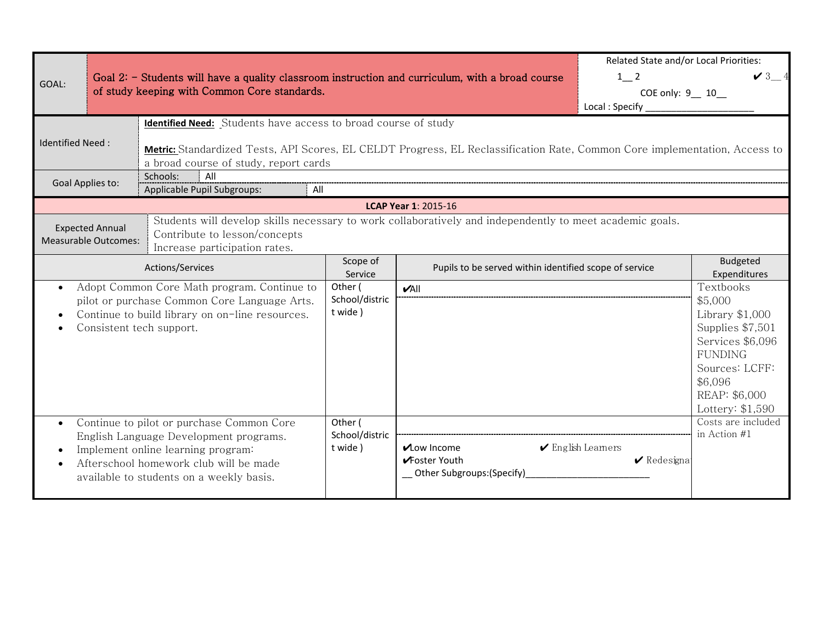| GOAL:                                                                                                                                                                                                                                                                                                                                  |                                                       | Goal $2:$ - Students will have a quality classroom instruction and curriculum, with a broad course<br>of study keeping with Common Core standards.                                                              | Related State and/or Local Priorities:<br>$1 - 2$<br>COE only: 9_ 10_<br>Local: Specify __________________ | $\vee$ 3 $-4$                                                                                            |                                                   |                                                                                                                                                                      |
|----------------------------------------------------------------------------------------------------------------------------------------------------------------------------------------------------------------------------------------------------------------------------------------------------------------------------------------|-------------------------------------------------------|-----------------------------------------------------------------------------------------------------------------------------------------------------------------------------------------------------------------|------------------------------------------------------------------------------------------------------------|----------------------------------------------------------------------------------------------------------|---------------------------------------------------|----------------------------------------------------------------------------------------------------------------------------------------------------------------------|
| Identified Need: Students have access to broad course of study<br>Identified Need:<br>Metric: Standardized Tests, API Scores, EL CELDT Progress, EL Reclassification Rate, Common Core implementation, Access to<br>a broad course of study, report cards<br>Schools:<br>All<br>Goal Applies to:<br>Applicable Pupil Subgroups:<br>All |                                                       |                                                                                                                                                                                                                 |                                                                                                            |                                                                                                          |                                                   |                                                                                                                                                                      |
|                                                                                                                                                                                                                                                                                                                                        |                                                       |                                                                                                                                                                                                                 |                                                                                                            | <b>LCAP Year 1: 2015-16</b>                                                                              |                                                   |                                                                                                                                                                      |
|                                                                                                                                                                                                                                                                                                                                        | <b>Expected Annual</b><br><b>Measurable Outcomes:</b> | Contribute to lesson/concepts<br>Increase participation rates.                                                                                                                                                  |                                                                                                            | Students will develop skills necessary to work collaboratively and independently to meet academic goals. |                                                   |                                                                                                                                                                      |
|                                                                                                                                                                                                                                                                                                                                        |                                                       | Actions/Services                                                                                                                                                                                                | Scope of<br>Service                                                                                        | Pupils to be served within identified scope of service                                                   |                                                   | <b>Budgeted</b><br>Expenditures                                                                                                                                      |
| $\bullet$                                                                                                                                                                                                                                                                                                                              |                                                       | Adopt Common Core Math program. Continue to<br>pilot or purchase Common Core Language Arts.<br>Continue to build library on on-line resources.<br>Consistent tech support.                                      | Other (<br>School/distric<br>t wide)                                                                       | $V$ All                                                                                                  |                                                   | Textbooks<br>\$5,000<br>Library $$1,000$<br>Supplies \$7,501<br>Services \$6,096<br><b>FUNDING</b><br>Sources: LCFF:<br>\$6,096<br>REAP: \$6,000<br>Lottery: \$1,590 |
| $\bullet$                                                                                                                                                                                                                                                                                                                              |                                                       | Continue to pilot or purchase Common Core<br>English Language Development programs.<br>Implement online learning program:<br>Afterschool homework club will be made<br>available to students on a weekly basis. | Other (<br>School/distric<br>t wide)                                                                       | Low Income<br><b>√Foster Youth</b><br>_ Other Subgroups:(Specify)                                        | $\checkmark$ English Learners<br>$\vee$ Redesigna | Costs are included<br>in Action #1                                                                                                                                   |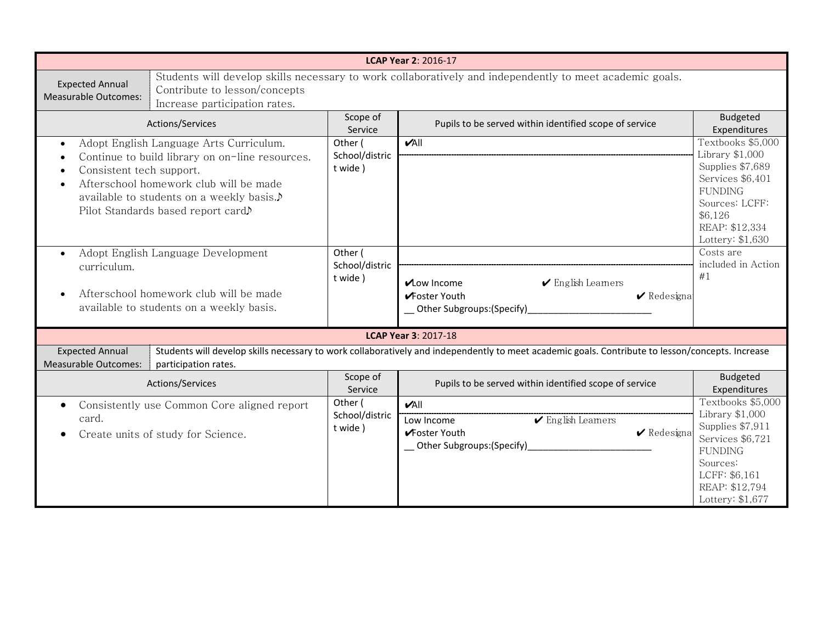| <b>LCAP Year 2: 2016-17</b>                                                                                                             |                                                                                                                                                                                                                         |                                      |                                                                                                                                                  |                                                                                                                                                                   |  |
|-----------------------------------------------------------------------------------------------------------------------------------------|-------------------------------------------------------------------------------------------------------------------------------------------------------------------------------------------------------------------------|--------------------------------------|--------------------------------------------------------------------------------------------------------------------------------------------------|-------------------------------------------------------------------------------------------------------------------------------------------------------------------|--|
| <b>Expected Annual</b><br><b>Measurable Outcomes:</b>                                                                                   | Contribute to lesson/concepts<br>Increase participation rates.                                                                                                                                                          |                                      | Students will develop skills necessary to work collaboratively and independently to meet academic goals.                                         |                                                                                                                                                                   |  |
|                                                                                                                                         | Actions/Services                                                                                                                                                                                                        | Scope of<br>Service                  | Pupils to be served within identified scope of service                                                                                           | <b>Budgeted</b><br>Expenditures                                                                                                                                   |  |
| Consistent tech support.                                                                                                                | Adopt English Language Arts Curriculum.<br>Continue to build library on on-line resources.<br>Afterschool homework club will be made<br>available to students on a weekly basis.)<br>Pilot Standards based report card) | Other (<br>School/distric<br>t wide) | $V$ All                                                                                                                                          | Textbooks \$5,000<br>Library \$1,000<br>Supplies \$7,689<br>Services \$6,401<br><b>FUNDING</b><br>Sources: LCFF:<br>\$6,126<br>REAP: \$12,334<br>Lottery: \$1,630 |  |
| Adopt English Language Development<br>curriculum.<br>Afterschool homework club will be made<br>available to students on a weekly basis. |                                                                                                                                                                                                                         | Other (<br>School/distric<br>t wide) | $\checkmark$ English Learners<br>Low Income<br>$\vee$ Redesigna<br><b>√Foster Youth</b><br>Other Subgroups: (Specify)                            | Costs are<br>included in Action<br>#1                                                                                                                             |  |
|                                                                                                                                         |                                                                                                                                                                                                                         |                                      | <b>LCAP Year 3: 2017-18</b>                                                                                                                      |                                                                                                                                                                   |  |
| <b>Expected Annual</b><br><b>Measurable Outcomes:</b>                                                                                   | participation rates.                                                                                                                                                                                                    |                                      | Students will develop skills necessary to work collaboratively and independently to meet academic goals. Contribute to lesson/concepts. Increase |                                                                                                                                                                   |  |
|                                                                                                                                         | Actions/Services                                                                                                                                                                                                        | Scope of<br>Service                  | Pupils to be served within identified scope of service                                                                                           | <b>Budgeted</b><br>Expenditures                                                                                                                                   |  |
| card.                                                                                                                                   | Consistently use Common Core aligned report<br>Create units of study for Science.                                                                                                                                       | Other (<br>School/distric<br>t wide) | $V$ All<br>$\checkmark$ English Leamers<br>Low Income<br>←Foster Youth<br>$\blacktriangleright$ Redesigna<br>_ Other Subgroups:(Specify)_        | Textbooks \$5,000<br>Library \$1,000<br>Supplies \$7,911<br>Services \$6,721<br><b>FUNDING</b><br>Sources:<br>LCFF: \$6,161<br>REAP: \$12,794<br>Lottery: \$1,677 |  |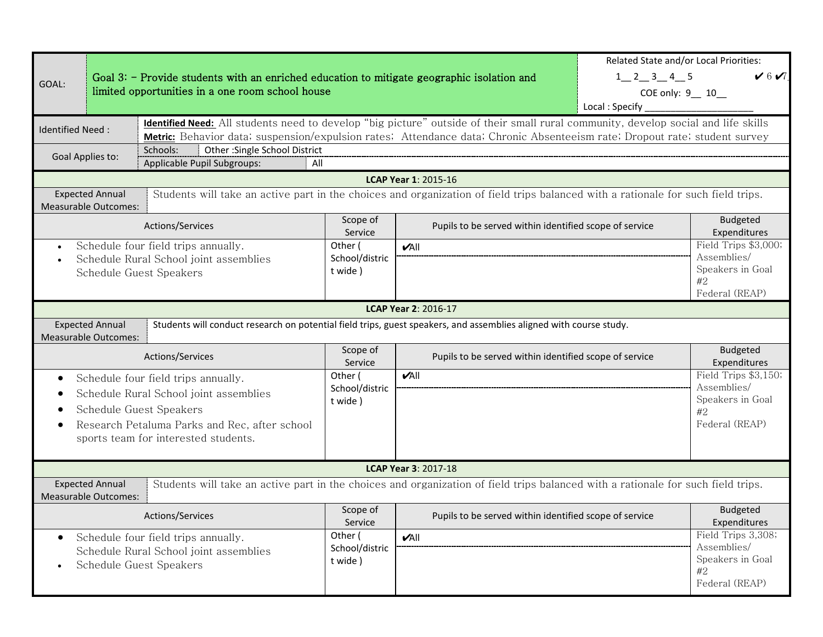|                                                           |                                         |                                                                                                                                                                                                                                                                                                                                                                                                                                                          |                                                                                                                              |                                                                                                                                                                                  | $\times$ 6 $\times$ 7                                                                                                                                                                                                                                                                                                                                                                                                                                                                                                                                                                                                                                                                                                                                                                                                                                                                                                             |
|-----------------------------------------------------------|-----------------------------------------|----------------------------------------------------------------------------------------------------------------------------------------------------------------------------------------------------------------------------------------------------------------------------------------------------------------------------------------------------------------------------------------------------------------------------------------------------------|------------------------------------------------------------------------------------------------------------------------------|----------------------------------------------------------------------------------------------------------------------------------------------------------------------------------|-----------------------------------------------------------------------------------------------------------------------------------------------------------------------------------------------------------------------------------------------------------------------------------------------------------------------------------------------------------------------------------------------------------------------------------------------------------------------------------------------------------------------------------------------------------------------------------------------------------------------------------------------------------------------------------------------------------------------------------------------------------------------------------------------------------------------------------------------------------------------------------------------------------------------------------|
| GOAL:<br>limited opportunities in a one room school house |                                         |                                                                                                                                                                                                                                                                                                                                                                                                                                                          |                                                                                                                              |                                                                                                                                                                                  |                                                                                                                                                                                                                                                                                                                                                                                                                                                                                                                                                                                                                                                                                                                                                                                                                                                                                                                                   |
|                                                           |                                         |                                                                                                                                                                                                                                                                                                                                                                                                                                                          |                                                                                                                              | Local: Specify                                                                                                                                                                   |                                                                                                                                                                                                                                                                                                                                                                                                                                                                                                                                                                                                                                                                                                                                                                                                                                                                                                                                   |
| Identified Need:                                          |                                         |                                                                                                                                                                                                                                                                                                                                                                                                                                                          |                                                                                                                              |                                                                                                                                                                                  |                                                                                                                                                                                                                                                                                                                                                                                                                                                                                                                                                                                                                                                                                                                                                                                                                                                                                                                                   |
| Goal Applies to:                                          | Schools:<br>Applicable Pupil Subgroups: |                                                                                                                                                                                                                                                                                                                                                                                                                                                          |                                                                                                                              |                                                                                                                                                                                  |                                                                                                                                                                                                                                                                                                                                                                                                                                                                                                                                                                                                                                                                                                                                                                                                                                                                                                                                   |
|                                                           |                                         |                                                                                                                                                                                                                                                                                                                                                                                                                                                          |                                                                                                                              |                                                                                                                                                                                  |                                                                                                                                                                                                                                                                                                                                                                                                                                                                                                                                                                                                                                                                                                                                                                                                                                                                                                                                   |
| <b>Expected Annual</b><br><b>Measurable Outcomes:</b>     |                                         |                                                                                                                                                                                                                                                                                                                                                                                                                                                          |                                                                                                                              |                                                                                                                                                                                  |                                                                                                                                                                                                                                                                                                                                                                                                                                                                                                                                                                                                                                                                                                                                                                                                                                                                                                                                   |
|                                                           | Actions/Services                        | Scope of<br>Service                                                                                                                                                                                                                                                                                                                                                                                                                                      |                                                                                                                              |                                                                                                                                                                                  | Budgeted<br>Expenditures                                                                                                                                                                                                                                                                                                                                                                                                                                                                                                                                                                                                                                                                                                                                                                                                                                                                                                          |
|                                                           |                                         | Other (                                                                                                                                                                                                                                                                                                                                                                                                                                                  | $V$ All                                                                                                                      |                                                                                                                                                                                  | Field Trips \$3,000;                                                                                                                                                                                                                                                                                                                                                                                                                                                                                                                                                                                                                                                                                                                                                                                                                                                                                                              |
|                                                           |                                         |                                                                                                                                                                                                                                                                                                                                                                                                                                                          |                                                                                                                              |                                                                                                                                                                                  | Assemblies/<br>Speakers in Goal                                                                                                                                                                                                                                                                                                                                                                                                                                                                                                                                                                                                                                                                                                                                                                                                                                                                                                   |
|                                                           |                                         |                                                                                                                                                                                                                                                                                                                                                                                                                                                          |                                                                                                                              |                                                                                                                                                                                  | #2                                                                                                                                                                                                                                                                                                                                                                                                                                                                                                                                                                                                                                                                                                                                                                                                                                                                                                                                |
|                                                           |                                         |                                                                                                                                                                                                                                                                                                                                                                                                                                                          |                                                                                                                              |                                                                                                                                                                                  | Federal (REAP)                                                                                                                                                                                                                                                                                                                                                                                                                                                                                                                                                                                                                                                                                                                                                                                                                                                                                                                    |
|                                                           |                                         |                                                                                                                                                                                                                                                                                                                                                                                                                                                          |                                                                                                                              |                                                                                                                                                                                  |                                                                                                                                                                                                                                                                                                                                                                                                                                                                                                                                                                                                                                                                                                                                                                                                                                                                                                                                   |
| <b>Expected Annual</b>                                    |                                         |                                                                                                                                                                                                                                                                                                                                                                                                                                                          |                                                                                                                              |                                                                                                                                                                                  |                                                                                                                                                                                                                                                                                                                                                                                                                                                                                                                                                                                                                                                                                                                                                                                                                                                                                                                                   |
|                                                           | Actions/Services                        | Scope of<br>Service                                                                                                                                                                                                                                                                                                                                                                                                                                      |                                                                                                                              |                                                                                                                                                                                  | <b>Budgeted</b><br>Expenditures                                                                                                                                                                                                                                                                                                                                                                                                                                                                                                                                                                                                                                                                                                                                                                                                                                                                                                   |
|                                                           |                                         | Other (                                                                                                                                                                                                                                                                                                                                                                                                                                                  | $V$ All                                                                                                                      |                                                                                                                                                                                  | Field Trips \$3,150;                                                                                                                                                                                                                                                                                                                                                                                                                                                                                                                                                                                                                                                                                                                                                                                                                                                                                                              |
|                                                           |                                         |                                                                                                                                                                                                                                                                                                                                                                                                                                                          |                                                                                                                              |                                                                                                                                                                                  | Assemblies/<br>Speakers in Goal                                                                                                                                                                                                                                                                                                                                                                                                                                                                                                                                                                                                                                                                                                                                                                                                                                                                                                   |
|                                                           |                                         |                                                                                                                                                                                                                                                                                                                                                                                                                                                          |                                                                                                                              |                                                                                                                                                                                  | #2                                                                                                                                                                                                                                                                                                                                                                                                                                                                                                                                                                                                                                                                                                                                                                                                                                                                                                                                |
|                                                           |                                         |                                                                                                                                                                                                                                                                                                                                                                                                                                                          |                                                                                                                              |                                                                                                                                                                                  | Federal (REAP)                                                                                                                                                                                                                                                                                                                                                                                                                                                                                                                                                                                                                                                                                                                                                                                                                                                                                                                    |
|                                                           |                                         |                                                                                                                                                                                                                                                                                                                                                                                                                                                          |                                                                                                                              |                                                                                                                                                                                  |                                                                                                                                                                                                                                                                                                                                                                                                                                                                                                                                                                                                                                                                                                                                                                                                                                                                                                                                   |
|                                                           |                                         |                                                                                                                                                                                                                                                                                                                                                                                                                                                          |                                                                                                                              |                                                                                                                                                                                  |                                                                                                                                                                                                                                                                                                                                                                                                                                                                                                                                                                                                                                                                                                                                                                                                                                                                                                                                   |
| <b>Expected Annual</b><br><b>Measurable Outcomes:</b>     |                                         |                                                                                                                                                                                                                                                                                                                                                                                                                                                          |                                                                                                                              |                                                                                                                                                                                  |                                                                                                                                                                                                                                                                                                                                                                                                                                                                                                                                                                                                                                                                                                                                                                                                                                                                                                                                   |
|                                                           | Actions/Services                        | Scope of<br>Service                                                                                                                                                                                                                                                                                                                                                                                                                                      |                                                                                                                              |                                                                                                                                                                                  | <b>Budgeted</b><br>Expenditures                                                                                                                                                                                                                                                                                                                                                                                                                                                                                                                                                                                                                                                                                                                                                                                                                                                                                                   |
|                                                           |                                         | Other (                                                                                                                                                                                                                                                                                                                                                                                                                                                  | $V$ All                                                                                                                      |                                                                                                                                                                                  | Field Trips 3,308;                                                                                                                                                                                                                                                                                                                                                                                                                                                                                                                                                                                                                                                                                                                                                                                                                                                                                                                |
|                                                           |                                         |                                                                                                                                                                                                                                                                                                                                                                                                                                                          |                                                                                                                              |                                                                                                                                                                                  | Assemblies/<br>Speakers in Goal                                                                                                                                                                                                                                                                                                                                                                                                                                                                                                                                                                                                                                                                                                                                                                                                                                                                                                   |
|                                                           |                                         |                                                                                                                                                                                                                                                                                                                                                                                                                                                          |                                                                                                                              |                                                                                                                                                                                  | #2                                                                                                                                                                                                                                                                                                                                                                                                                                                                                                                                                                                                                                                                                                                                                                                                                                                                                                                                |
|                                                           |                                         |                                                                                                                                                                                                                                                                                                                                                                                                                                                          |                                                                                                                              |                                                                                                                                                                                  | Federal (REAP)                                                                                                                                                                                                                                                                                                                                                                                                                                                                                                                                                                                                                                                                                                                                                                                                                                                                                                                    |
|                                                           |                                         | Schedule four field trips annually.<br>Schedule Rural School joint assemblies<br>Schedule Guest Speakers<br><b>Measurable Outcomes:</b><br>Schedule four field trips annually.<br>Schedule Rural School joint assemblies<br>Schedule Guest Speakers<br>Research Petaluma Parks and Rec, after school<br>sports team for interested students.<br>Schedule four field trips annually.<br>Schedule Rural School joint assemblies<br>Schedule Guest Speakers | Other : Single School District<br>All<br>School/distric<br>t wide)<br>School/distric<br>t wide)<br>School/distric<br>t wide) | Goal 3: - Provide students with an enriched education to mitigate geographic isolation and<br><b>LCAP Year 1: 2015-16</b><br>LCAP Year 2: 2016-17<br><b>LCAP Year 3: 2017-18</b> | Related State and/or Local Priorities:<br>$1 \n2 \n3 \n4 \n5$<br>COE only: 9_ 10_<br>Identified Need: All students need to develop "big picture" outside of their small rural community, develop social and life skills<br>Metric: Behavior data; suspension/expulsion rates; Attendance data; Chronic Absenteeism rate; Dropout rate; student survey<br>Students will take an active part in the choices and organization of field trips balanced with a rationale for such field trips.<br>Pupils to be served within identified scope of service<br>Students will conduct research on potential field trips, guest speakers, and assemblies aligned with course study.<br>Pupils to be served within identified scope of service<br>Students will take an active part in the choices and organization of field trips balanced with a rationale for such field trips.<br>Pupils to be served within identified scope of service |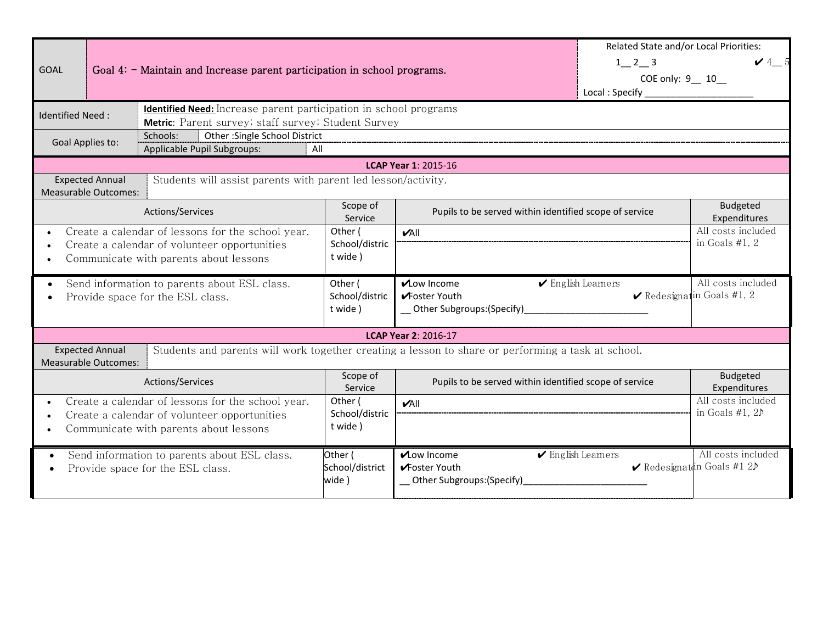| GOAL                                                                                                                                                     |                                                       | Goal 4: - Maintain and Increase parent participation in school programs.                                                 | Related State and/or Local Priorities:<br>$1 - 2 - 3$<br>COE only: 9_ 10_              |                                                                                                    |                                                                      |                                           |
|----------------------------------------------------------------------------------------------------------------------------------------------------------|-------------------------------------------------------|--------------------------------------------------------------------------------------------------------------------------|----------------------------------------------------------------------------------------|----------------------------------------------------------------------------------------------------|----------------------------------------------------------------------|-------------------------------------------|
| Identified Need:                                                                                                                                         |                                                       | Identified Need: Increase parent participation in school programs<br>Metric: Parent survey; staff survey; Student Survey |                                                                                        |                                                                                                    |                                                                      |                                           |
| Goal Applies to:                                                                                                                                         |                                                       | Other: Single School District<br>Schools:<br>Applicable Pupil Subgroups:<br>All                                          |                                                                                        |                                                                                                    |                                                                      |                                           |
|                                                                                                                                                          |                                                       |                                                                                                                          |                                                                                        | <b>LCAP Year 1: 2015-16</b>                                                                        |                                                                      |                                           |
|                                                                                                                                                          | <b>Expected Annual</b><br><b>Measurable Outcomes:</b> | Students will assist parents with parent led lesson/activity.                                                            |                                                                                        |                                                                                                    |                                                                      |                                           |
|                                                                                                                                                          |                                                       | Actions/Services                                                                                                         | Scope of<br>Service                                                                    | Pupils to be served within identified scope of service                                             |                                                                      | <b>Budgeted</b><br>Expenditures           |
| Create a calendar of lessons for the school year.<br>Create a calendar of volunteer opportunities<br>$\bullet$<br>Communicate with parents about lessons |                                                       | Other (<br>School/distric<br>t wide)                                                                                     | $V$ All                                                                                |                                                                                                    | All costs included<br>in Goals $#1, 2$                               |                                           |
| Send information to parents about ESL class.<br>$\bullet$<br>Provide space for the ESL class.                                                            |                                                       | Other (<br>School/distric<br>t wide)                                                                                     | Low Income<br>✔oster Youth<br>__ Other Subgroups:(Specify)____________________________ | $\sqrt{\frac{1}{2}}$ English Learners                                                              | All costs included<br>$\blacktriangleright$ Redesignatin Goals #1, 2 |                                           |
|                                                                                                                                                          |                                                       |                                                                                                                          |                                                                                        | <b>LCAP Year 2: 2016-17</b>                                                                        |                                                                      |                                           |
|                                                                                                                                                          | <b>Expected Annual</b><br><b>Measurable Outcomes:</b> |                                                                                                                          |                                                                                        | Students and parents will work together creating a lesson to share or performing a task at school. |                                                                      |                                           |
|                                                                                                                                                          |                                                       | Actions/Services                                                                                                         | Scope of<br>Service                                                                    | Pupils to be served within identified scope of service                                             |                                                                      | <b>Budgeted</b><br>Expenditures           |
|                                                                                                                                                          |                                                       | Create a calendar of lessons for the school year.<br>Create a calendar of volunteer opportunities                        | Other (<br>School/distric<br>t wide)                                                   | $V$ All                                                                                            |                                                                      | All costs included<br>in Goals $#1, 2$    |
| $\bullet$<br>$\bullet$                                                                                                                                   |                                                       | Communicate with parents about lessons<br>Send information to parents about ESL class.                                   | Other (                                                                                | Low Income                                                                                         | $\checkmark$ English Leamers                                         | All costs included                        |
|                                                                                                                                                          |                                                       | Provide space for the ESL class.                                                                                         | School/district<br>wide)                                                               | ✔oster Youth<br>__ Other Subgroups:(Specify)_                                                      |                                                                      | Redesignatein Goals #1 2 $\triangleright$ |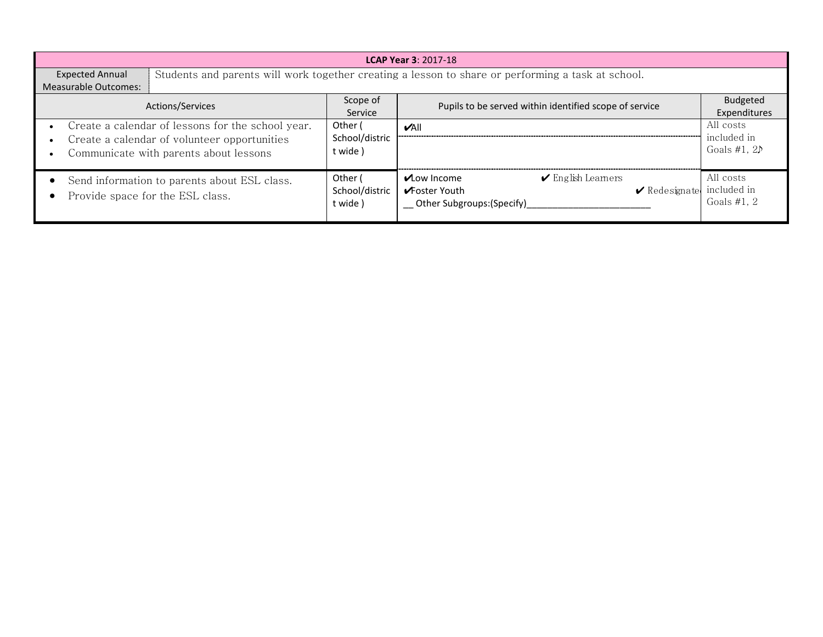| <b>LCAP Year 3: 2017-18</b>                                                                                |                                                                                                                                             |                                      |                                                                                                                                       |                                              |  |
|------------------------------------------------------------------------------------------------------------|---------------------------------------------------------------------------------------------------------------------------------------------|--------------------------------------|---------------------------------------------------------------------------------------------------------------------------------------|----------------------------------------------|--|
| <b>Expected Annual</b>                                                                                     |                                                                                                                                             |                                      | Students and parents will work together creating a lesson to share or performing a task at school.                                    |                                              |  |
| <b>Measurable Outcomes:</b>                                                                                |                                                                                                                                             |                                      |                                                                                                                                       |                                              |  |
| <b>Actions/Services</b>                                                                                    |                                                                                                                                             | Scope of<br>Service                  | Pupils to be served within identified scope of service                                                                                | Budgeted<br>Expenditures                     |  |
|                                                                                                            | Create a calendar of lessons for the school year.<br>Create a calendar of volunteer opportunities<br>Communicate with parents about lessons | Other (<br>School/distric<br>t wide) | $V$ All                                                                                                                               | All costs<br>included in<br>Goals $#1$ , $2$ |  |
| Send information to parents about ESL class.<br>$\bullet$<br>Provide space for the ESL class.<br>$\bullet$ |                                                                                                                                             | Other (<br>School/distric<br>t wide) | $\triangleright$ English Learners<br>Low Income<br>◆ Foster Youth<br>$\blacktriangleright$ Redesignate<br>_ Other Subgroups:(Specify) | All costs<br>included in<br>Goals $#1, 2$    |  |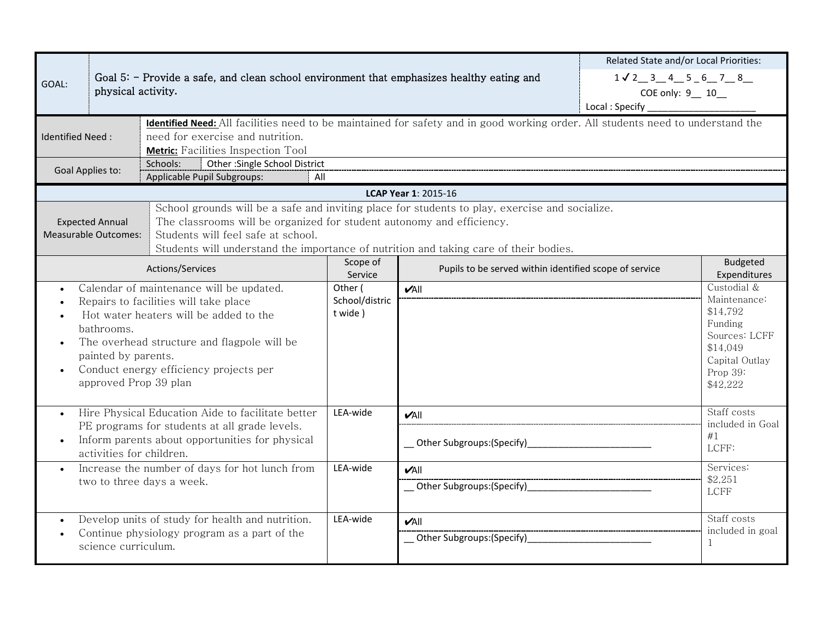|                    |                             |                                       |                                                                       |                |                                                                                                                                 | Related State and/or Local Priorities: |                        |
|--------------------|-----------------------------|---------------------------------------|-----------------------------------------------------------------------|----------------|---------------------------------------------------------------------------------------------------------------------------------|----------------------------------------|------------------------|
| GOAL:              |                             |                                       |                                                                       |                | Goal $5$ : $-$ Provide a safe, and clean school environment that emphasizes healthy eating and                                  | $1\sqrt{2}$ 3 4 5 6 7 8                |                        |
| physical activity. |                             |                                       |                                                                       |                |                                                                                                                                 | COE only: $9 - 10$                     |                        |
|                    |                             |                                       |                                                                       |                |                                                                                                                                 | Local: Specify _                       |                        |
|                    |                             |                                       |                                                                       |                | Identified Need: All facilities need to be maintained for safety and in good working order. All students need to understand the |                                        |                        |
| Identified Need:   |                             |                                       | need for exercise and nutrition.                                      |                |                                                                                                                                 |                                        |                        |
|                    |                             |                                       | <b>Metric:</b> Facilities Inspection Tool                             |                |                                                                                                                                 |                                        |                        |
| Goal Applies to:   |                             | Schools:                              | Other: Single School District                                         |                |                                                                                                                                 |                                        |                        |
|                    |                             |                                       | Applicable Pupil Subgroups:<br>All                                    |                |                                                                                                                                 |                                        |                        |
|                    |                             |                                       |                                                                       |                | <b>LCAP Year 1: 2015-16</b>                                                                                                     |                                        |                        |
|                    |                             |                                       |                                                                       |                | School grounds will be a safe and inviting place for students to play, exercise and socialize.                                  |                                        |                        |
|                    | <b>Expected Annual</b>      |                                       | The classrooms will be organized for student autonomy and efficiency. |                |                                                                                                                                 |                                        |                        |
|                    | <b>Measurable Outcomes:</b> |                                       | Students will feel safe at school.                                    |                | Students will understand the importance of nutrition and taking care of their bodies.                                           |                                        |                        |
|                    |                             |                                       |                                                                       | Scope of       |                                                                                                                                 |                                        | Budgeted               |
|                    |                             | Actions/Services                      |                                                                       | Service        | Pupils to be served within identified scope of service                                                                          |                                        | Expenditures           |
|                    |                             |                                       | Calendar of maintenance will be updated.                              | Other (        | $V$ All                                                                                                                         |                                        | Custodial &            |
|                    |                             | Repairs to facilities will take place |                                                                       | School/distric |                                                                                                                                 |                                        | Maintenance:           |
|                    |                             |                                       | Hot water heaters will be added to the                                | t wide)        |                                                                                                                                 |                                        | \$14,792<br>Funding    |
|                    | bathrooms.                  |                                       |                                                                       |                |                                                                                                                                 |                                        | Sources: LCFF          |
|                    |                             |                                       | The overhead structure and flagpole will be                           |                |                                                                                                                                 |                                        | \$14,049               |
|                    | painted by parents.         |                                       |                                                                       |                |                                                                                                                                 |                                        | Capital Outlay         |
|                    |                             |                                       | Conduct energy efficiency projects per                                |                |                                                                                                                                 |                                        | Prop 39:               |
|                    |                             | approved Prop 39 plan                 |                                                                       |                |                                                                                                                                 |                                        | \$42,222               |
|                    |                             |                                       | Hire Physical Education Aide to facilitate better                     | LEA-wide       |                                                                                                                                 |                                        | Staff costs            |
|                    |                             |                                       | PE programs for students at all grade levels.                         |                | $V$ All                                                                                                                         |                                        | included in Goal       |
|                    |                             |                                       | Inform parents about opportunities for physical                       |                |                                                                                                                                 |                                        | #1                     |
|                    | activities for children.    |                                       |                                                                       |                |                                                                                                                                 |                                        | LCFF:                  |
|                    |                             |                                       | Increase the number of days for hot lunch from                        | LEA-wide       | $V$ All                                                                                                                         |                                        | Services:              |
|                    |                             | two to three days a week.             |                                                                       |                |                                                                                                                                 |                                        | \$2,251<br><b>LCFF</b> |
|                    |                             |                                       |                                                                       |                |                                                                                                                                 |                                        |                        |
|                    |                             |                                       | Develop units of study for health and nutrition.                      | LEA-wide       | $V$ All                                                                                                                         |                                        | Staff costs            |
|                    |                             |                                       | Continue physiology program as a part of the                          |                | __ Other Subgroups:(Specify)_                                                                                                   |                                        | included in goal       |
|                    | science curriculum.         |                                       |                                                                       |                |                                                                                                                                 |                                        | $\mathbf{1}$           |
|                    |                             |                                       |                                                                       |                |                                                                                                                                 |                                        |                        |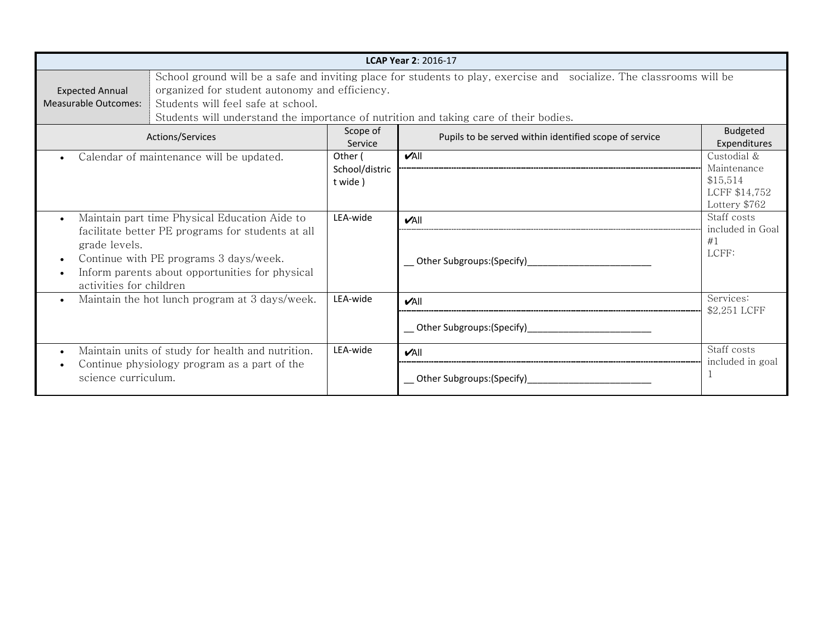| <b>LCAP Year 2: 2016-17</b>                                        |                                                                                                                                                                                                                                                                                                       |                                      |                                                                      |                                                                          |  |
|--------------------------------------------------------------------|-------------------------------------------------------------------------------------------------------------------------------------------------------------------------------------------------------------------------------------------------------------------------------------------------------|--------------------------------------|----------------------------------------------------------------------|--------------------------------------------------------------------------|--|
| <b>Expected Annual</b><br><b>Measurable Outcomes:</b>              | School ground will be a safe and inviting place for students to play, exercise and socialize. The classrooms will be<br>organized for student autonomy and efficiency.<br>Students will feel safe at school.<br>Students will understand the importance of nutrition and taking care of their bodies. |                                      |                                                                      |                                                                          |  |
|                                                                    | <b>Actions/Services</b>                                                                                                                                                                                                                                                                               | Scope of<br>Service                  | Pupils to be served within identified scope of service               | Budgeted<br>Expenditures                                                 |  |
|                                                                    | Calendar of maintenance will be updated.                                                                                                                                                                                                                                                              | Other (<br>School/distric<br>t wide) | $V$ All                                                              | Custodial &<br>Maintenance<br>\$15,514<br>LCFF \$14,752<br>Lottery \$762 |  |
| $\bullet$<br>grade levels.<br>$\bullet$<br>activities for children | Maintain part time Physical Education Aide to<br>facilitate better PE programs for students at all<br>Continue with PE programs 3 days/week.<br>Inform parents about opportunities for physical                                                                                                       | LEA-wide                             | $V$ All<br>Other Subgroups:(Specify)_________________                | Staff costs<br>included in Goal<br>#1<br>LCFF:                           |  |
| $\bullet$                                                          | Maintain the hot lunch program at 3 days/week.                                                                                                                                                                                                                                                        | LEA-wide                             | $V$ All<br>__ Other Subgroups:(Specify)_____________________________ | Services:<br>\$2,251 LCFF                                                |  |
| $\bullet$<br>science curriculum.                                   | Maintain units of study for health and nutrition.<br>Continue physiology program as a part of the                                                                                                                                                                                                     | LEA-wide                             | $V$ All<br>Other Subgroups: (Specify)                                | Staff costs<br>included in goal<br>$\mathbf{1}$                          |  |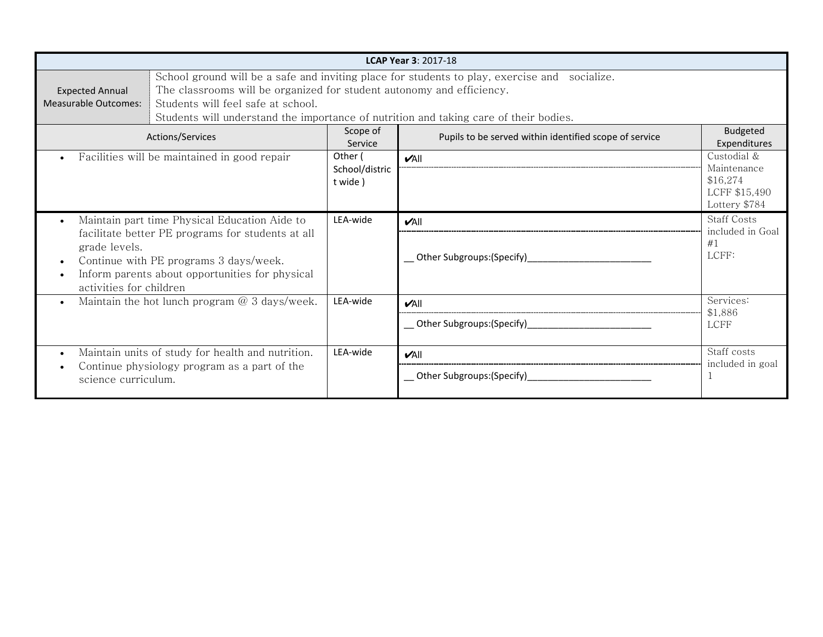|                                                       |                                                                                                                                                                                                                                                                                                       |                                      | <b>LCAP Year 3: 2017-18</b>                            |                                                                          |  |
|-------------------------------------------------------|-------------------------------------------------------------------------------------------------------------------------------------------------------------------------------------------------------------------------------------------------------------------------------------------------------|--------------------------------------|--------------------------------------------------------|--------------------------------------------------------------------------|--|
| <b>Expected Annual</b><br><b>Measurable Outcomes:</b> | School ground will be a safe and inviting place for students to play, exercise and socialize.<br>The classrooms will be organized for student autonomy and efficiency.<br>Students will feel safe at school.<br>Students will understand the importance of nutrition and taking care of their bodies. |                                      |                                                        |                                                                          |  |
|                                                       | <b>Actions/Services</b>                                                                                                                                                                                                                                                                               | Scope of<br>Service                  | Pupils to be served within identified scope of service | Budgeted<br>Expenditures                                                 |  |
|                                                       | Facilities will be maintained in good repair                                                                                                                                                                                                                                                          | Other (<br>School/distric<br>t wide) | $V$ All                                                | Custodial &<br>Maintenance<br>\$16,274<br>LCFF \$15,490<br>Lottery \$784 |  |
| grade levels.<br>activities for children              | Maintain part time Physical Education Aide to<br>facilitate better PE programs for students at all<br>Continue with PE programs 3 days/week.<br>Inform parents about opportunities for physical                                                                                                       | LEA-wide                             | $V$ All<br>__ Other Subgroups:(Specify)___             | <b>Staff Costs</b><br>included in Goal<br>#1<br>LCFF:                    |  |
|                                                       | Maintain the hot lunch program $@$ 3 days/week.                                                                                                                                                                                                                                                       | LEA-wide                             | $V$ All<br>__ Other Subgroups:(Specify)_               | Services:<br>\$1,886<br><b>LCFF</b>                                      |  |
| science curriculum.                                   | Maintain units of study for health and nutrition.<br>Continue physiology program as a part of the                                                                                                                                                                                                     | LEA-wide                             | $V$ All<br>__ Other Subgroups:(Specify)_____           | Staff costs<br>included in goal                                          |  |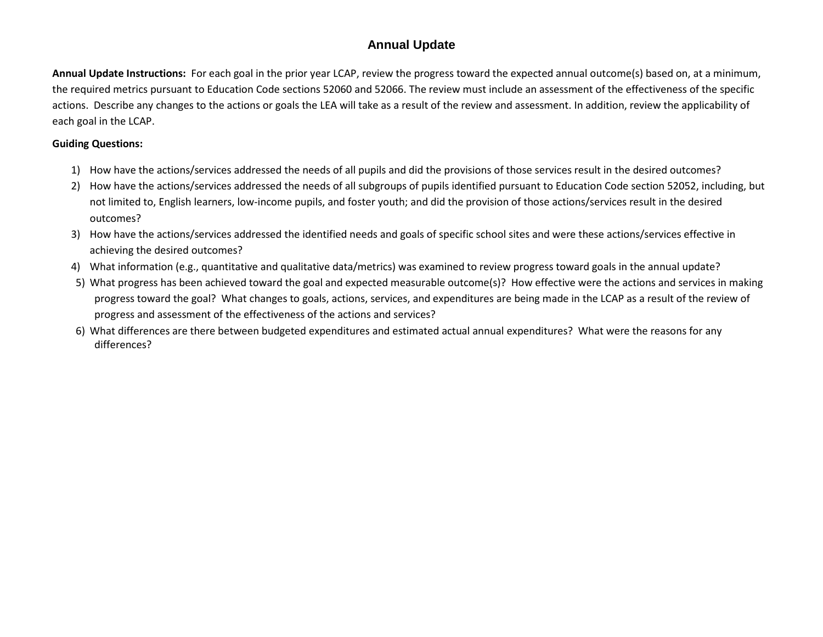# **Annual Update**

**Annual Update Instructions:** For each goal in the prior year LCAP, review the progress toward the expected annual outcome(s) based on, at a minimum, the required metrics pursuant to Education Code sections 52060 and 52066. The review must include an assessment of the effectiveness of the specific actions. Describe any changes to the actions or goals the LEA will take as a result of the review and assessment. In addition, review the applicability of each goal in the LCAP.

#### **Guiding Questions:**

- 1) How have the actions/services addressed the needs of all pupils and did the provisions of those services result in the desired outcomes?
- 2) How have the actions/services addressed the needs of all subgroups of pupils identified pursuant to Education Code section 52052, including, but not limited to, English learners, low-income pupils, and foster youth; and did the provision of those actions/services result in the desired outcomes?
- 3) How have the actions/services addressed the identified needs and goals of specific school sites and were these actions/services effective in achieving the desired outcomes?
- 4) What information (e.g., quantitative and qualitative data/metrics) was examined to review progress toward goals in the annual update?
- 5) What progress has been achieved toward the goal and expected measurable outcome(s)? How effective were the actions and services in making progress toward the goal? What changes to goals, actions, services, and expenditures are being made in the LCAP as a result of the review of progress and assessment of the effectiveness of the actions and services?
- 6) What differences are there between budgeted expenditures and estimated actual annual expenditures? What were the reasons for any differences?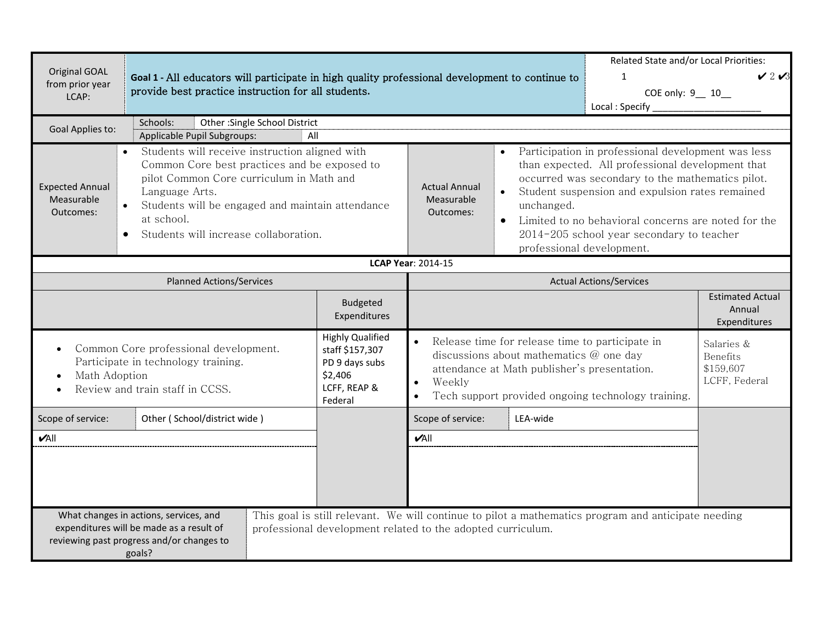| <b>Original GOAL</b><br>from prior year<br>LCAP:                                                                                              | Related State and/or Local Priorities:<br>Goal 1 - All educators will participate in high quality professional development to continue to<br>$\mathbf{1}$<br>provide best practice instruction for all students.<br>COE only: 9_ 10_<br>Local: Specify                                                                                  |                                                                                                    |                                                                                                                                                                                                                                        |                                                                                                                                                                                                                                                                                                                                                              | $\sqrt{2}\sqrt{3}$                                   |
|-----------------------------------------------------------------------------------------------------------------------------------------------|-----------------------------------------------------------------------------------------------------------------------------------------------------------------------------------------------------------------------------------------------------------------------------------------------------------------------------------------|----------------------------------------------------------------------------------------------------|----------------------------------------------------------------------------------------------------------------------------------------------------------------------------------------------------------------------------------------|--------------------------------------------------------------------------------------------------------------------------------------------------------------------------------------------------------------------------------------------------------------------------------------------------------------------------------------------------------------|------------------------------------------------------|
| Goal Applies to:                                                                                                                              | Schools:<br>Other : Single School District                                                                                                                                                                                                                                                                                              |                                                                                                    |                                                                                                                                                                                                                                        |                                                                                                                                                                                                                                                                                                                                                              |                                                      |
| <b>Expected Annual</b><br>Measurable<br>Outcomes:                                                                                             | Applicable Pupil Subgroups:<br>All<br>Students will receive instruction aligned with<br>$\bullet$<br>Common Core best practices and be exposed to<br>pilot Common Core curriculum in Math and<br>Language Arts.<br>Students will be engaged and maintain attendance<br>at school.<br>Students will increase collaboration.<br>$\bullet$ |                                                                                                    | <b>Actual Annual</b><br>Measurable<br>Outcomes:                                                                                                                                                                                        | Participation in professional development was less<br>than expected. All professional development that<br>occurred was secondary to the mathematics pilot.<br>Student suspension and expulsion rates remained<br>unchanged.<br>Limited to no behavioral concerns are noted for the<br>2014-205 school year secondary to teacher<br>professional development. |                                                      |
| <b>LCAP Year: 2014-15</b>                                                                                                                     |                                                                                                                                                                                                                                                                                                                                         |                                                                                                    |                                                                                                                                                                                                                                        |                                                                                                                                                                                                                                                                                                                                                              |                                                      |
|                                                                                                                                               | <b>Planned Actions/Services</b>                                                                                                                                                                                                                                                                                                         |                                                                                                    | <b>Actual Actions/Services</b>                                                                                                                                                                                                         |                                                                                                                                                                                                                                                                                                                                                              |                                                      |
|                                                                                                                                               |                                                                                                                                                                                                                                                                                                                                         | <b>Budgeted</b><br>Expenditures                                                                    |                                                                                                                                                                                                                                        |                                                                                                                                                                                                                                                                                                                                                              | <b>Estimated Actual</b><br>Annual<br>Expenditures    |
| Common Core professional development.<br>$\bullet$<br>Participate in technology training.<br>Math Adoption<br>Review and train staff in CCSS. |                                                                                                                                                                                                                                                                                                                                         | <b>Highly Qualified</b><br>staff \$157,307<br>PD 9 days subs<br>\$2,406<br>LCFF, REAP &<br>Federal | Release time for release time to participate in<br>discussions about mathematics $@$ one day<br>attendance at Math publisher's presentation.<br>Weekly<br>$\bullet$<br>Tech support provided ongoing technology training.<br>$\bullet$ |                                                                                                                                                                                                                                                                                                                                                              | Salaries &<br>Benefits<br>\$159,607<br>LCFF, Federal |
| Scope of service:                                                                                                                             | Other (School/district wide)                                                                                                                                                                                                                                                                                                            |                                                                                                    | Scope of service:                                                                                                                                                                                                                      | LEA-wide                                                                                                                                                                                                                                                                                                                                                     |                                                      |
| $\nu$ ail                                                                                                                                     |                                                                                                                                                                                                                                                                                                                                         |                                                                                                    | $V$ All                                                                                                                                                                                                                                |                                                                                                                                                                                                                                                                                                                                                              |                                                      |
|                                                                                                                                               | What changes in actions, services, and<br>expenditures will be made as a result of                                                                                                                                                                                                                                                      | professional development related to the adopted curriculum.                                        |                                                                                                                                                                                                                                        | This goal is still relevant. We will continue to pilot a mathematics program and anticipate needing                                                                                                                                                                                                                                                          |                                                      |
|                                                                                                                                               | reviewing past progress and/or changes to<br>goals?                                                                                                                                                                                                                                                                                     |                                                                                                    |                                                                                                                                                                                                                                        |                                                                                                                                                                                                                                                                                                                                                              |                                                      |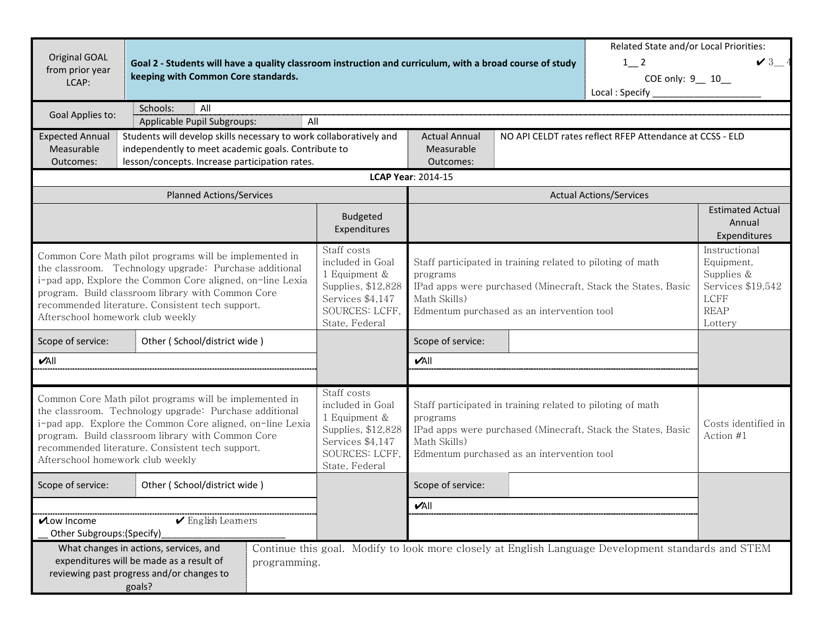| <b>Original GOAL</b>                                   |                                                                                                                     |                                        |                                                            |                                                            | Related State and/or Local Priorities:                                                             |                                  |
|--------------------------------------------------------|---------------------------------------------------------------------------------------------------------------------|----------------------------------------|------------------------------------------------------------|------------------------------------------------------------|----------------------------------------------------------------------------------------------------|----------------------------------|
| from prior year                                        | Goal 2 - Students will have a quality classroom instruction and curriculum, with a broad course of study            |                                        |                                                            |                                                            | $1 - 2$                                                                                            | $\sqrt{3}$ $\frac{4}{3}$         |
| LCAP:                                                  | keeping with Common Core standards.                                                                                 |                                        |                                                            |                                                            | COE only: 9__ 10__                                                                                 |                                  |
|                                                        | Schools:<br>All                                                                                                     |                                        |                                                            |                                                            |                                                                                                    |                                  |
| Goal Applies to:                                       | Applicable Pupil Subgroups:<br>All                                                                                  |                                        |                                                            |                                                            |                                                                                                    |                                  |
| <b>Expected Annual</b>                                 | Students will develop skills necessary to work collaboratively and                                                  |                                        | <b>Actual Annual</b>                                       |                                                            | NO API CELDT rates reflect RFEP Attendance at CCSS - ELD                                           |                                  |
| Measurable                                             | independently to meet academic goals. Contribute to                                                                 |                                        | Measurable<br>Outcomes:                                    |                                                            |                                                                                                    |                                  |
| Outcomes:                                              | lesson/concepts. Increase participation rates.                                                                      |                                        | <b>LCAP Year: 2014-15</b>                                  |                                                            |                                                                                                    |                                  |
|                                                        | <b>Planned Actions/Services</b>                                                                                     |                                        |                                                            |                                                            |                                                                                                    |                                  |
|                                                        |                                                                                                                     |                                        |                                                            |                                                            | <b>Actual Actions/Services</b>                                                                     | <b>Estimated Actual</b>          |
|                                                        |                                                                                                                     | Budgeted<br>Expenditures               |                                                            |                                                            |                                                                                                    | Annual                           |
|                                                        |                                                                                                                     |                                        |                                                            |                                                            |                                                                                                    | Expenditures                     |
|                                                        | Common Core Math pilot programs will be implemented in                                                              | Staff costs<br>included in Goal        |                                                            | Staff participated in training related to piloting of math |                                                                                                    | Instructional<br>Equipment,      |
|                                                        | the classroom. Technology upgrade: Purchase additional<br>i-pad app, Explore the Common Core aligned, on-line Lexia | 1 Equipment &                          | programs                                                   | Supplies &                                                 |                                                                                                    |                                  |
|                                                        | program. Build classroom library with Common Core                                                                   | Supplies, \$12,828                     |                                                            |                                                            | IPad apps were purchased (Minecraft, Stack the States, Basic                                       | Services \$19,542                |
|                                                        | recommended literature. Consistent tech support.                                                                    | Services \$4,147<br>SOURCES: LCFF,     | Math Skills)<br>Edmentum purchased as an intervention tool |                                                            | LCFF<br><b>REAP</b>                                                                                |                                  |
| Afterschool homework club weekly                       |                                                                                                                     | State, Federal                         |                                                            |                                                            |                                                                                                    | Lottery                          |
| Scope of service:                                      | Other (School/district wide)                                                                                        |                                        | Scope of service:                                          |                                                            |                                                                                                    |                                  |
| $V$ All                                                |                                                                                                                     |                                        | $V$ All                                                    |                                                            |                                                                                                    |                                  |
|                                                        |                                                                                                                     |                                        |                                                            |                                                            |                                                                                                    |                                  |
| Common Core Math pilot programs will be implemented in |                                                                                                                     | Staff costs                            |                                                            |                                                            |                                                                                                    |                                  |
|                                                        | the classroom. Technology upgrade: Purchase additional                                                              | included in Goal<br>1 Equipment &      | programs                                                   | Staff participated in training related to piloting of math |                                                                                                    |                                  |
|                                                        | i-pad app. Explore the Common Core aligned, on-line Lexia<br>program. Build classroom library with Common Core      | Supplies, \$12,828<br>Services \$4,147 |                                                            |                                                            | IPad apps were purchased (Minecraft, Stack the States, Basic                                       | Costs identified in<br>Action #1 |
|                                                        | recommended literature. Consistent tech support.                                                                    |                                        | Math Skills)                                               | Edmentum purchased as an intervention tool                 |                                                                                                    |                                  |
| Afterschool homework club weekly                       |                                                                                                                     | SOURCES: LCFF.<br>State, Federal       |                                                            |                                                            |                                                                                                    |                                  |
| Scope of service:                                      | Other (School/district wide)                                                                                        |                                        | Scope of service:                                          |                                                            |                                                                                                    |                                  |
|                                                        |                                                                                                                     |                                        | $V$ All                                                    |                                                            |                                                                                                    |                                  |
| $\checkmark$ English Learners<br>Low Income            |                                                                                                                     |                                        |                                                            |                                                            |                                                                                                    |                                  |
| Other Subgroups: (Specify)                             |                                                                                                                     |                                        |                                                            |                                                            |                                                                                                    |                                  |
|                                                        | What changes in actions, services, and<br>expenditures will be made as a result of<br>programming.                  |                                        |                                                            |                                                            | Continue this goal. Modify to look more closely at English Language Development standards and STEM |                                  |
|                                                        | reviewing past progress and/or changes to                                                                           |                                        |                                                            |                                                            |                                                                                                    |                                  |
|                                                        | goals?                                                                                                              |                                        |                                                            |                                                            |                                                                                                    |                                  |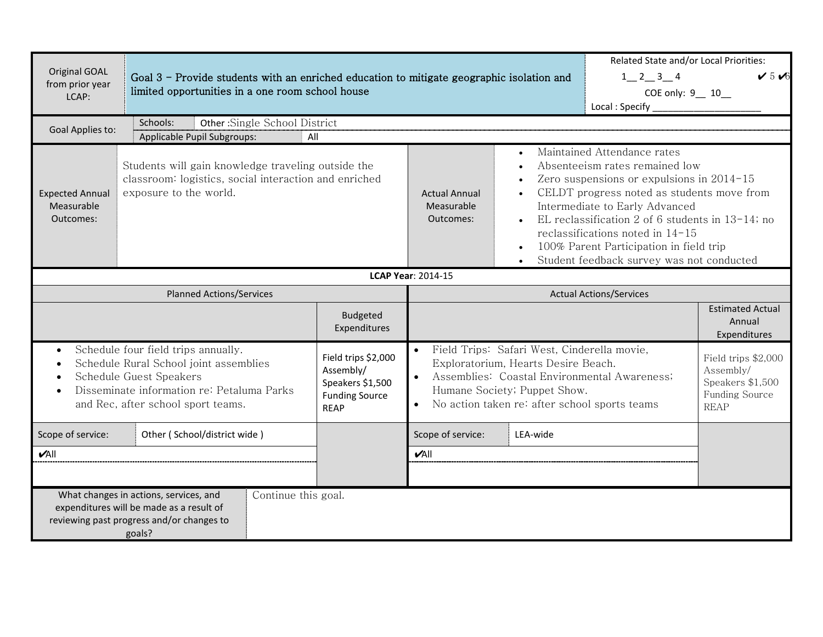| <b>Original GOAL</b><br>from prior year<br>LCAP:                                                                                                                                                          | Goal $3$ – Provide students with an enriched education to mitigate geographic isolation and<br>limited opportunities in a one room school house                             |                                                                                              |                                                                                                                                                                                                                     |                                                                                                                                                                                                                                                                                                                                                                                                                                                   | Related State and/or Local Priorities:<br>$1\_\_2\_\_3\_\_4$<br>COE only: 9_ 10_<br>Local: Specify _ | $\checkmark$ 5 $\checkmark$                       |
|-----------------------------------------------------------------------------------------------------------------------------------------------------------------------------------------------------------|-----------------------------------------------------------------------------------------------------------------------------------------------------------------------------|----------------------------------------------------------------------------------------------|---------------------------------------------------------------------------------------------------------------------------------------------------------------------------------------------------------------------|---------------------------------------------------------------------------------------------------------------------------------------------------------------------------------------------------------------------------------------------------------------------------------------------------------------------------------------------------------------------------------------------------------------------------------------------------|------------------------------------------------------------------------------------------------------|---------------------------------------------------|
| Goal Applies to:                                                                                                                                                                                          | Schools:<br>Other: Single School District                                                                                                                                   |                                                                                              |                                                                                                                                                                                                                     |                                                                                                                                                                                                                                                                                                                                                                                                                                                   |                                                                                                      |                                                   |
| <b>Expected Annual</b><br>Measurable<br>Outcomes:                                                                                                                                                         | Applicable Pupil Subgroups:<br>All<br>Students will gain knowledge traveling outside the<br>classroom: logistics, social interaction and enriched<br>exposure to the world. |                                                                                              | <b>Actual Annual</b><br>Measurable<br>Outcomes:                                                                                                                                                                     | Maintained Attendance rates<br>$\bullet$<br>Absenteeism rates remained low<br>$\bullet$<br>Zero suspensions or expulsions in $2014 - 15$<br>$\bullet$<br>CELDT progress noted as students move from<br>$\bullet$<br>Intermediate to Early Advanced<br>EL reclassification 2 of 6 students in 13-14; no<br>reclassifications noted in $14-15$<br>100% Parent Participation in field trip<br>$\bullet$<br>Student feedback survey was not conducted |                                                                                                      |                                                   |
| <b>LCAP Year: 2014-15</b>                                                                                                                                                                                 |                                                                                                                                                                             |                                                                                              |                                                                                                                                                                                                                     |                                                                                                                                                                                                                                                                                                                                                                                                                                                   |                                                                                                      |                                                   |
|                                                                                                                                                                                                           | <b>Planned Actions/Services</b>                                                                                                                                             |                                                                                              | <b>Actual Actions/Services</b>                                                                                                                                                                                      |                                                                                                                                                                                                                                                                                                                                                                                                                                                   |                                                                                                      |                                                   |
|                                                                                                                                                                                                           |                                                                                                                                                                             | <b>Budgeted</b><br>Expenditures                                                              |                                                                                                                                                                                                                     |                                                                                                                                                                                                                                                                                                                                                                                                                                                   |                                                                                                      | <b>Estimated Actual</b><br>Annual<br>Expenditures |
| Schedule four field trips annually.<br>$\bullet$<br>Schedule Rural School joint assemblies<br>Schedule Guest Speakers<br>Disseminate information re: Petaluma Parks<br>and Rec, after school sport teams. |                                                                                                                                                                             | Field trips \$2,000<br>Assembly/<br>Speakers \$1,500<br><b>Funding Source</b><br><b>REAP</b> | Field Trips: Safari West, Cinderella movie,<br>Exploratorium, Hearts Desire Beach.<br>Assemblies: Coastal Environmental Awareness;<br>Humane Society; Puppet Show.<br>No action taken re: after school sports teams |                                                                                                                                                                                                                                                                                                                                                                                                                                                   | Field trips \$2,000<br>Assembly/<br>Speakers \$1,500<br>Funding Source<br><b>REAP</b>                |                                                   |
| Scope of service:                                                                                                                                                                                         | Other (School/district wide)                                                                                                                                                |                                                                                              | Scope of service:                                                                                                                                                                                                   | LEA-wide                                                                                                                                                                                                                                                                                                                                                                                                                                          |                                                                                                      |                                                   |
| $\nu$ ail                                                                                                                                                                                                 |                                                                                                                                                                             |                                                                                              | $V$ All                                                                                                                                                                                                             |                                                                                                                                                                                                                                                                                                                                                                                                                                                   |                                                                                                      |                                                   |
|                                                                                                                                                                                                           |                                                                                                                                                                             |                                                                                              |                                                                                                                                                                                                                     |                                                                                                                                                                                                                                                                                                                                                                                                                                                   |                                                                                                      |                                                   |
|                                                                                                                                                                                                           | What changes in actions, services, and<br>Continue this goal.<br>expenditures will be made as a result of<br>reviewing past progress and/or changes to<br>goals?            |                                                                                              |                                                                                                                                                                                                                     |                                                                                                                                                                                                                                                                                                                                                                                                                                                   |                                                                                                      |                                                   |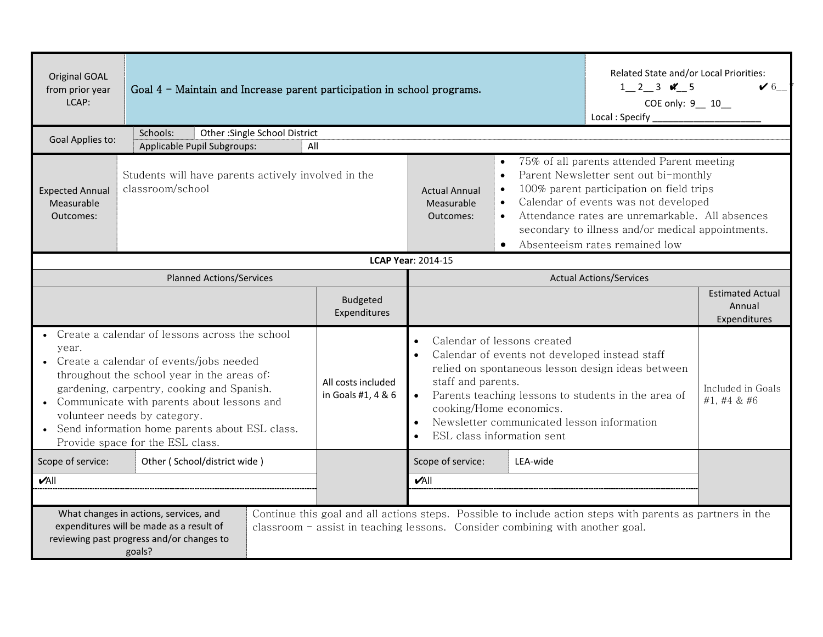| <b>Original GOAL</b><br>from prior year<br>LCAP:                                                                                                                                                                                                                                                                                                                            | Goal $4$ – Maintain and Increase parent participation in school programs. |                                          |                                                                                                                                 |                                                                                                                                                                                                                                                                                                                                                                                    | Related State and/or Local Priorities:<br>$1 - 2 - 3$ <b>4'</b> 5<br>COE only: 9_ 10_<br>Local: Specify  | $\vee$ 6                                                                                                   |                                                   |
|-----------------------------------------------------------------------------------------------------------------------------------------------------------------------------------------------------------------------------------------------------------------------------------------------------------------------------------------------------------------------------|---------------------------------------------------------------------------|------------------------------------------|---------------------------------------------------------------------------------------------------------------------------------|------------------------------------------------------------------------------------------------------------------------------------------------------------------------------------------------------------------------------------------------------------------------------------------------------------------------------------------------------------------------------------|----------------------------------------------------------------------------------------------------------|------------------------------------------------------------------------------------------------------------|---------------------------------------------------|
| Goal Applies to:                                                                                                                                                                                                                                                                                                                                                            | Schools:                                                                  | Other : Single School District           |                                                                                                                                 |                                                                                                                                                                                                                                                                                                                                                                                    |                                                                                                          |                                                                                                            |                                                   |
|                                                                                                                                                                                                                                                                                                                                                                             | Applicable Pupil Subgroups:                                               | All                                      |                                                                                                                                 |                                                                                                                                                                                                                                                                                                                                                                                    |                                                                                                          |                                                                                                            |                                                   |
| <b>Expected Annual</b><br>Measurable<br>Outcomes:                                                                                                                                                                                                                                                                                                                           | Students will have parents actively involved in the<br>classroom/school   |                                          | <b>Actual Annual</b><br>Measurable<br>Outcomes:                                                                                 | 75% of all parents attended Parent meeting<br>$\bullet$<br>Parent Newsletter sent out bi-monthly<br>$\bullet$<br>100% parent participation on field trips<br>$\bullet$<br>Calendar of events was not developed<br>$\bullet$<br>Attendance rates are unremarkable. All absences<br>secondary to illness and/or medical appointments.<br>Absenteeism rates remained low<br>$\bullet$ |                                                                                                          |                                                                                                            |                                                   |
| <b>LCAP Year: 2014-15</b>                                                                                                                                                                                                                                                                                                                                                   |                                                                           |                                          |                                                                                                                                 |                                                                                                                                                                                                                                                                                                                                                                                    |                                                                                                          |                                                                                                            |                                                   |
| <b>Planned Actions/Services</b>                                                                                                                                                                                                                                                                                                                                             |                                                                           |                                          |                                                                                                                                 | <b>Actual Actions/Services</b>                                                                                                                                                                                                                                                                                                                                                     |                                                                                                          |                                                                                                            |                                                   |
|                                                                                                                                                                                                                                                                                                                                                                             |                                                                           |                                          | <b>Budgeted</b><br>Expenditures                                                                                                 |                                                                                                                                                                                                                                                                                                                                                                                    |                                                                                                          |                                                                                                            | <b>Estimated Actual</b><br>Annual<br>Expenditures |
| • Create a calendar of lessons across the school<br>vear.<br>• Create a calendar of events/jobs needed<br>throughout the school year in the areas of:<br>gardening, carpentry, cooking and Spanish.<br>• Communicate with parents about lessons and<br>volunteer needs by category.<br>• Send information home parents about ESL class.<br>Provide space for the ESL class. |                                                                           | All costs included<br>in Goals #1, 4 & 6 | $\bullet$<br>$\bullet$<br>staff and parents.<br>$\bullet$<br>cooking/Home economics.<br>ESL class information sent<br>$\bullet$ | Calendar of lessons created<br>Calendar of events not developed instead staff<br>Newsletter communicated lesson information                                                                                                                                                                                                                                                        | relied on spontaneous lesson design ideas between<br>Parents teaching lessons to students in the area of | Included in Goals<br>#1. #4 & #6                                                                           |                                                   |
| Scope of service:                                                                                                                                                                                                                                                                                                                                                           | Other (School/district wide)                                              |                                          |                                                                                                                                 | Scope of service:                                                                                                                                                                                                                                                                                                                                                                  | LEA-wide                                                                                                 |                                                                                                            |                                                   |
| $V$ All                                                                                                                                                                                                                                                                                                                                                                     |                                                                           |                                          |                                                                                                                                 | $\mathcal{V}$ ail                                                                                                                                                                                                                                                                                                                                                                  |                                                                                                          |                                                                                                            |                                                   |
| What changes in actions, services, and<br>expenditures will be made as a result of<br>reviewing past progress and/or changes to<br>goals?                                                                                                                                                                                                                                   |                                                                           |                                          | classroom - assist in teaching lessons. Consider combining with another goal.                                                   |                                                                                                                                                                                                                                                                                                                                                                                    |                                                                                                          | Continue this goal and all actions steps. Possible to include action steps with parents as partners in the |                                                   |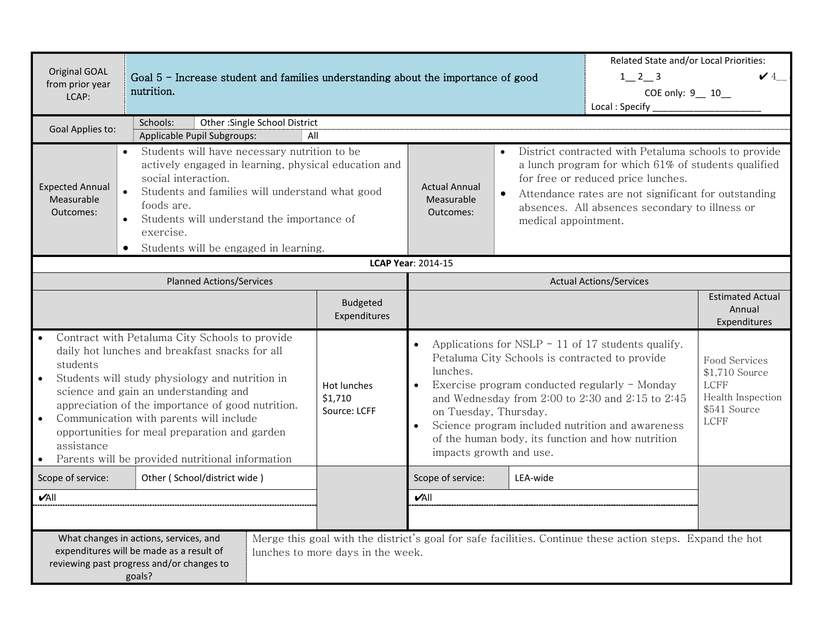| Original GOAL<br>from prior year<br>LCAP:                                                                                                                                                                                                                                                                                                                                                                                                                                                       | Related State and/or Local Priorities:<br>$1 - 2 - 3$<br>Goal $5$ – Increase student and families understanding about the importance of good<br>nutrition.<br>COE only: 9_ 10_<br>Local: Specify                                                                                                              |                                 |                                                                           |                                                                                                                                                                                                                                                                                     | $\checkmark$ 4                                                                                                                                                                                                                                                   |                                                                                      |
|-------------------------------------------------------------------------------------------------------------------------------------------------------------------------------------------------------------------------------------------------------------------------------------------------------------------------------------------------------------------------------------------------------------------------------------------------------------------------------------------------|---------------------------------------------------------------------------------------------------------------------------------------------------------------------------------------------------------------------------------------------------------------------------------------------------------------|---------------------------------|---------------------------------------------------------------------------|-------------------------------------------------------------------------------------------------------------------------------------------------------------------------------------------------------------------------------------------------------------------------------------|------------------------------------------------------------------------------------------------------------------------------------------------------------------------------------------------------------------------------------------------------------------|--------------------------------------------------------------------------------------|
| Goal Applies to:                                                                                                                                                                                                                                                                                                                                                                                                                                                                                | Other : Single School District<br>Schools:<br>Applicable Pupil Subgroups:                                                                                                                                                                                                                                     | All                             |                                                                           |                                                                                                                                                                                                                                                                                     |                                                                                                                                                                                                                                                                  |                                                                                      |
| <b>Expected Annual</b><br>Measurable<br>Outcomes:                                                                                                                                                                                                                                                                                                                                                                                                                                               | Students will have necessary nutrition to be<br>actively engaged in learning, physical education and<br>social interaction.<br>Students and families will understand what good<br>foods are.<br>Students will understand the importance of<br>exercise.<br>Students will be engaged in learning.<br>$\bullet$ |                                 | <b>Actual Annual</b><br>Measurable<br>Outcomes:                           | District contracted with Petaluma schools to provide<br>a lunch program for which 61% of students qualified<br>for free or reduced price lunches.<br>Attendance rates are not significant for outstanding<br>absences. All absences secondary to illness or<br>medical appointment. |                                                                                                                                                                                                                                                                  |                                                                                      |
| <b>LCAP Year: 2014-15</b><br><b>Actual Actions/Services</b>                                                                                                                                                                                                                                                                                                                                                                                                                                     |                                                                                                                                                                                                                                                                                                               |                                 |                                                                           |                                                                                                                                                                                                                                                                                     |                                                                                                                                                                                                                                                                  |                                                                                      |
|                                                                                                                                                                                                                                                                                                                                                                                                                                                                                                 | <b>Planned Actions/Services</b>                                                                                                                                                                                                                                                                               | <b>Budgeted</b><br>Expenditures |                                                                           |                                                                                                                                                                                                                                                                                     |                                                                                                                                                                                                                                                                  | <b>Estimated Actual</b><br>Annual<br>Expenditures                                    |
| Contract with Petaluma City Schools to provide<br>daily hot lunches and breakfast snacks for all<br>students<br>$\bullet$<br>Students will study physiology and nutrition in<br>Hot lunches<br>science and gain an understanding and<br>\$1,710<br>appreciation of the importance of good nutrition.<br>Source: LCFF<br>Communication with parents will include<br>$\bullet$<br>opportunities for meal preparation and garden<br>assistance<br>Parents will be provided nutritional information |                                                                                                                                                                                                                                                                                                               |                                 | lunches.<br>on Tuesday, Thursday.<br>$\bullet$<br>impacts growth and use. | Petaluma City Schools is contracted to provide                                                                                                                                                                                                                                      | Applications for NSLP - 11 of 17 students qualify.<br>Exercise program conducted regularly - Monday<br>and Wednesday from 2:00 to 2:30 and 2:15 to 2:45<br>Science program included nutrition and awareness<br>of the human body, its function and how nutrition | Food Services<br>\$1,710 Source<br>LCFF<br>Health Inspection<br>\$541 Source<br>LCFF |
| Scope of service:                                                                                                                                                                                                                                                                                                                                                                                                                                                                               | Other (School/district wide)                                                                                                                                                                                                                                                                                  |                                 | Scope of service:                                                         | LEA-wide                                                                                                                                                                                                                                                                            |                                                                                                                                                                                                                                                                  |                                                                                      |
| $V$ All<br>What changes in actions, services, and<br>Merge this goal with the district's goal for safe facilities. Continue these action steps. Expand the hot<br>expenditures will be made as a result of<br>lunches to more days in the week.<br>reviewing past progress and/or changes to<br>goals?                                                                                                                                                                                          |                                                                                                                                                                                                                                                                                                               |                                 | $V$ All                                                                   |                                                                                                                                                                                                                                                                                     |                                                                                                                                                                                                                                                                  |                                                                                      |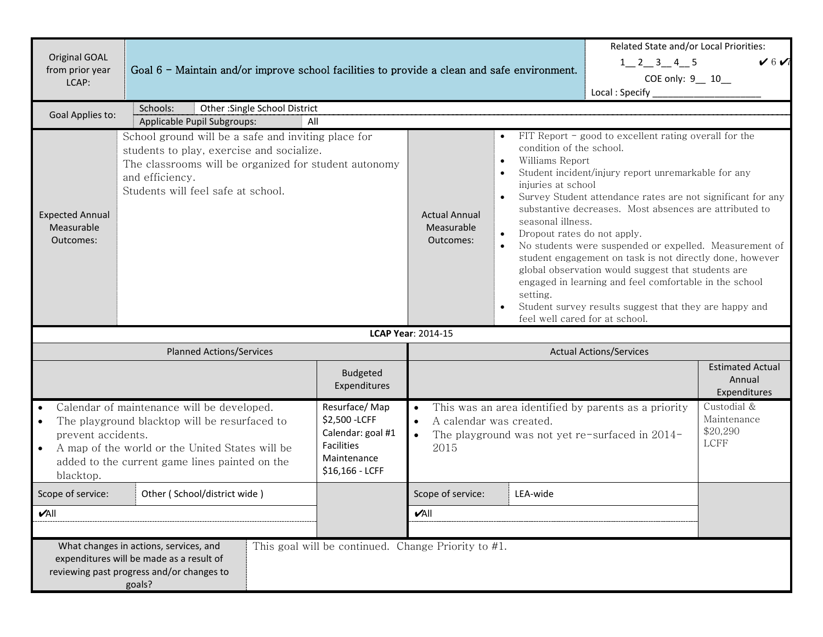| <b>Original GOAL</b><br>from prior year<br>LCAP:                                                                                                                                                                                                              | Related State and/or Local Priorities:<br>$1 \n2 \n3 \n4 \n5$<br>Goal $6$ – Maintain and/or improve school facilities to provide a clean and safe environment.<br>COE only: 9_ 10_<br>Local: Specify __                                                  |                                                                                                             |                                                 |                                                                                                    |                                                                                                                                                                                                                                                                                                                                                                                                                                                                                                                                                                                                          | V6V                                                            |  |
|---------------------------------------------------------------------------------------------------------------------------------------------------------------------------------------------------------------------------------------------------------------|----------------------------------------------------------------------------------------------------------------------------------------------------------------------------------------------------------------------------------------------------------|-------------------------------------------------------------------------------------------------------------|-------------------------------------------------|----------------------------------------------------------------------------------------------------|----------------------------------------------------------------------------------------------------------------------------------------------------------------------------------------------------------------------------------------------------------------------------------------------------------------------------------------------------------------------------------------------------------------------------------------------------------------------------------------------------------------------------------------------------------------------------------------------------------|----------------------------------------------------------------|--|
| Goal Applies to:                                                                                                                                                                                                                                              | Other : Single School District<br>Schools:                                                                                                                                                                                                               |                                                                                                             |                                                 |                                                                                                    |                                                                                                                                                                                                                                                                                                                                                                                                                                                                                                                                                                                                          |                                                                |  |
| <b>Expected Annual</b><br>Measurable<br>Outcomes:                                                                                                                                                                                                             | Applicable Pupil Subgroups:<br>All<br>School ground will be a safe and inviting place for<br>students to play, exercise and socialize.<br>The classrooms will be organized for student autonomy<br>and efficiency.<br>Students will feel safe at school. |                                                                                                             | <b>Actual Annual</b><br>Measurable<br>Outcomes: | condition of the school.<br>Williams Report<br>injuries at school<br>seasonal illness.<br>setting. | FIT Report $-$ good to excellent rating overall for the<br>Student incident/injury report unremarkable for any<br>Survey Student attendance rates are not significant for any<br>substantive decreases. Most absences are attributed to<br>Dropout rates do not apply.<br>No students were suspended or expelled. Measurement of<br>student engagement on task is not directly done, however<br>global observation would suggest that students are<br>engaged in learning and feel comfortable in the school<br>Student survey results suggest that they are happy and<br>feel well cared for at school. |                                                                |  |
|                                                                                                                                                                                                                                                               |                                                                                                                                                                                                                                                          |                                                                                                             | <b>LCAP Year: 2014-15</b>                       |                                                                                                    |                                                                                                                                                                                                                                                                                                                                                                                                                                                                                                                                                                                                          |                                                                |  |
| <b>Planned Actions/Services</b>                                                                                                                                                                                                                               |                                                                                                                                                                                                                                                          | <b>Budgeted</b><br>Expenditures                                                                             |                                                 |                                                                                                    | <b>Actual Actions/Services</b>                                                                                                                                                                                                                                                                                                                                                                                                                                                                                                                                                                           | <b>Estimated Actual</b><br>Annual                              |  |
| Calendar of maintenance will be developed.<br>$\bullet$<br>The playground blacktop will be resurfaced to<br>$\bullet$<br>prevent accidents.<br>A map of the world or the United States will be<br>added to the current game lines painted on the<br>blacktop. |                                                                                                                                                                                                                                                          | Resurface/Map<br>\$2,500 - LCFF<br>Calendar: goal #1<br><b>Facilities</b><br>Maintenance<br>\$16,166 - LCFF | A calendar was created.<br>$\bullet$<br>2015    |                                                                                                    | This was an area identified by parents as a priority<br>The playground was not yet re-surfaced in 2014-                                                                                                                                                                                                                                                                                                                                                                                                                                                                                                  | Expenditures<br>Custodial &<br>Maintenance<br>\$20,290<br>LCFF |  |
| Scope of service:                                                                                                                                                                                                                                             | Other (School/district wide)                                                                                                                                                                                                                             |                                                                                                             | Scope of service:                               | LEA-wide                                                                                           |                                                                                                                                                                                                                                                                                                                                                                                                                                                                                                                                                                                                          |                                                                |  |
| $V$ All                                                                                                                                                                                                                                                       |                                                                                                                                                                                                                                                          |                                                                                                             | $V$ All                                         |                                                                                                    |                                                                                                                                                                                                                                                                                                                                                                                                                                                                                                                                                                                                          |                                                                |  |
| This goal will be continued. Change Priority to #1.<br>What changes in actions, services, and<br>expenditures will be made as a result of<br>reviewing past progress and/or changes to<br>goals?                                                              |                                                                                                                                                                                                                                                          |                                                                                                             |                                                 |                                                                                                    |                                                                                                                                                                                                                                                                                                                                                                                                                                                                                                                                                                                                          |                                                                |  |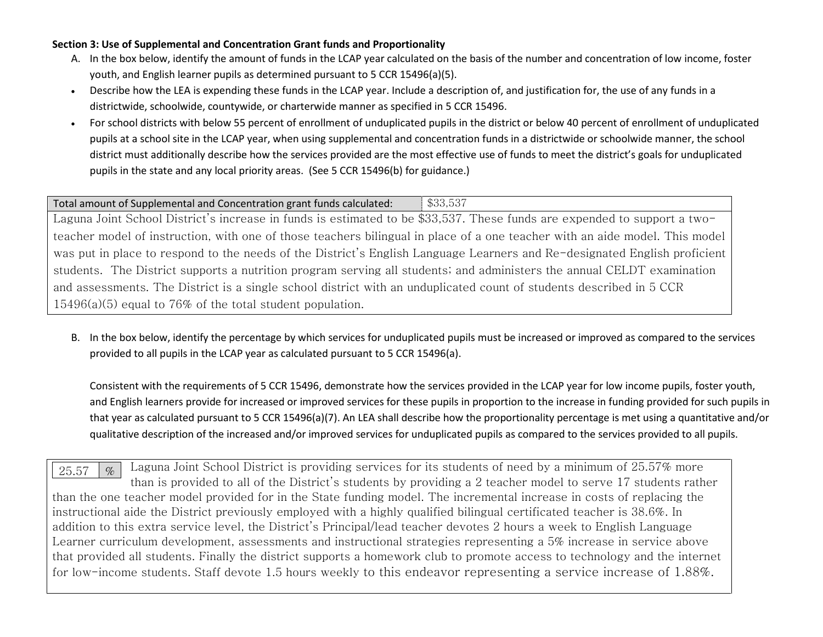#### **Section 3: Use of Supplemental and Concentration Grant funds and Proportionality**

- A. In the box below, identify the amount of funds in the LCAP year calculated on the basis of the number and concentration of low income, foster youth, and English learner pupils as determined pursuant to 5 CCR 15496(a)(5).
- Describe how the LEA is expending these funds in the LCAP year. Include a description of, and justification for, the use of any funds in a districtwide, schoolwide, countywide, or charterwide manner as specified in 5 CCR 15496.
- For school districts with below 55 percent of enrollment of unduplicated pupils in the district or below 40 percent of enrollment of unduplicated pupils at a school site in the LCAP year, when using supplemental and concentration funds in a districtwide or schoolwide manner, the school district must additionally describe how the services provided are the most effective use of funds to meet the district's goals for unduplicated pupils in the state and any local priority areas. (See 5 CCR 15496(b) for guidance.)

| Total amount of Supplemental and Concentration grant funds calculated: | ,,,,, |
|------------------------------------------------------------------------|-------|
|                                                                        |       |

Laguna Joint School District's increase in funds is estimated to be \$33,537. These funds are expended to support a twoteacher model of instruction, with one of those teachers bilingual in place of a one teacher with an aide model. This model was put in place to respond to the needs of the District's English Language Learners and Re-designated English proficient students. The District supports a nutrition program serving all students; and administers the annual CELDT examination and assessments. The District is a single school district with an unduplicated count of students described in 5 CCR 15496(a)(5) equal to 76% of the total student population.

B. In the box below, identify the percentage by which services for unduplicated pupils must be increased or improved as compared to the services provided to all pupils in the LCAP year as calculated pursuant to 5 CCR 15496(a).

Consistent with the requirements of 5 CCR 15496, demonstrate how the services provided in the LCAP year for low income pupils, foster youth, and English learners provide for increased or improved services for these pupils in proportion to the increase in funding provided for such pupils in that year as calculated pursuant to 5 CCR 15496(a)(7). An LEA shall describe how the proportionality percentage is met using a quantitative and/or qualitative description of the increased and/or improved services for unduplicated pupils as compared to the services provided to all pupils.

Laguna Joint School District is providing services for its students of need by a minimum of 25.57% more than is provided to all of the District's students by providing a 2 teacher model to serve 17 students rather than the one teacher model provided for in the State funding model. The incremental increase in costs of replacing the instructional aide the District previously employed with a highly qualified bilingual certificated teacher is 38.6%. In addition to this extra service level, the District's Principal/lead teacher devotes 2 hours a week to English Language Learner curriculum development, assessments and instructional strategies representing a 5% increase in service above that provided all students. Finally the district supports a homework club to promote access to technology and the internet for low-income students. Staff devote 1.5 hours weekly to this endeavor representing a service increase of 1.88%.  $25.57 \mid \%$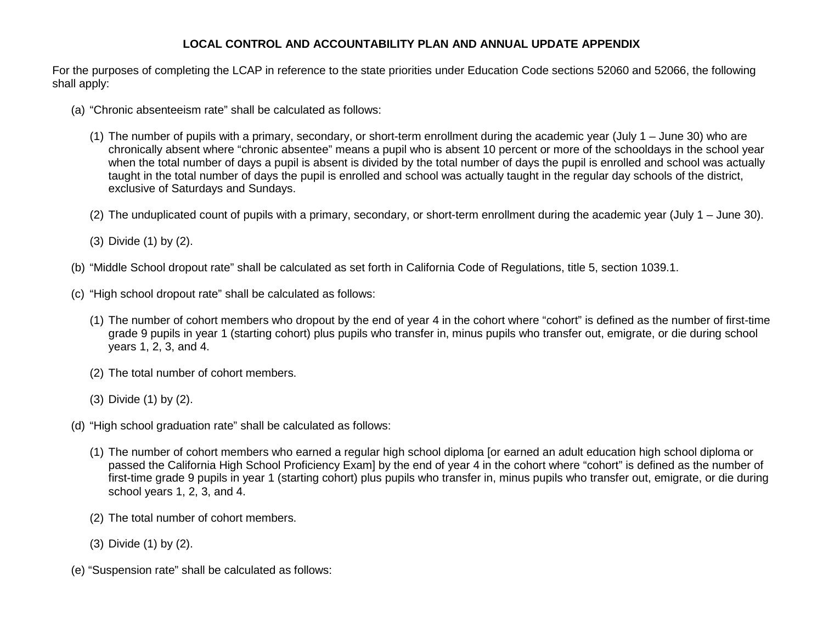## **LOCAL CONTROL AND ACCOUNTABILITY PLAN AND ANNUAL UPDATE APPENDIX**

For the purposes of completing the LCAP in reference to the state priorities under Education Code sections 52060 and 52066, the following shall apply:

- (a) "Chronic absenteeism rate" shall be calculated as follows:
	- (1) The number of pupils with a primary, secondary, or short-term enrollment during the academic year (July 1 June 30) who are chronically absent where "chronic absentee" means a pupil who is absent 10 percent or more of the schooldays in the school year when the total number of days a pupil is absent is divided by the total number of days the pupil is enrolled and school was actually taught in the total number of days the pupil is enrolled and school was actually taught in the regular day schools of the district, exclusive of Saturdays and Sundays.
	- (2) The unduplicated count of pupils with a primary, secondary, or short-term enrollment during the academic year (July 1 June 30).
	- (3) Divide (1) by (2).
- (b) "Middle School dropout rate" shall be calculated as set forth in California Code of Regulations, title 5, section 1039.1.
- (c) "High school dropout rate" shall be calculated as follows:
	- (1) The number of cohort members who dropout by the end of year 4 in the cohort where "cohort" is defined as the number of first-time grade 9 pupils in year 1 (starting cohort) plus pupils who transfer in, minus pupils who transfer out, emigrate, or die during school years 1, 2, 3, and 4.
	- (2) The total number of cohort members.
	- (3) Divide (1) by (2).
- (d) "High school graduation rate" shall be calculated as follows:
	- (1) The number of cohort members who earned a regular high school diploma [or earned an adult education high school diploma or passed the California High School Proficiency Exam] by the end of year 4 in the cohort where "cohort" is defined as the number of first-time grade 9 pupils in year 1 (starting cohort) plus pupils who transfer in, minus pupils who transfer out, emigrate, or die during school years 1, 2, 3, and 4.
	- (2) The total number of cohort members.
	- (3) Divide (1) by (2).
- (e) "Suspension rate" shall be calculated as follows: